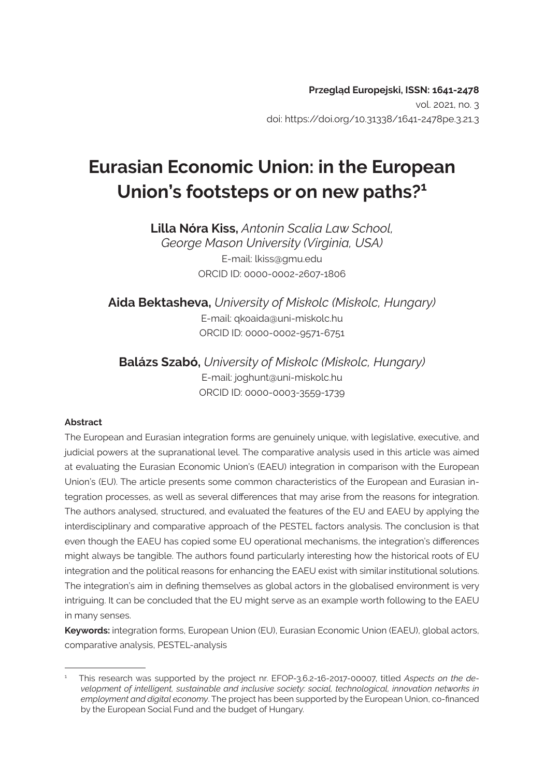# **Eurasian Economic Union: in the European Union's footsteps or on new paths?1**

**Lilla Nóra Kiss,** *Antonin Scalia Law School, George Mason University (Virginia, USA)* E-mail: lkiss@gmu.edu ORCID ID: 0000-0002-2607-1806

**Aida Bektasheva,** *University of Miskolc (Miskolc, Hungary)* E-mail: qkoaida@uni-miskolc.hu ORCID ID: 0000-0002-9571-6751

**Balázs Szabó,** *University of Miskolc (Miskolc, Hungary)* E-mail: joghunt@uni-miskolc.hu ORCID ID: 0000-0003-3559-1739

### **Abstract**

The European and Eurasian integration forms are genuinely unique, with legislative, executive, and judicial powers at the supranational level. The comparative analysis used in this article was aimed at evaluating the Eurasian Economic Union's (EAEU) integration in comparison with the European Union's (EU). The article presents some common characteristics of the European and Eurasian integration processes, as well as several differences that may arise from the reasons for integration. The authors analysed, structured, and evaluated the features of the EU and EAEU by applying the interdisciplinary and comparative approach of the PESTEL factors analysis. The conclusion is that even though the EAEU has copied some EU operational mechanisms, the integration's differences might always be tangible. The authors found particularly interesting how the historical roots of EU integration and the political reasons for enhancing the EAEU exist with similar institutional solutions. The integration's aim in defining themselves as global actors in the globalised environment is very intriguing. It can be concluded that the EU might serve as an example worth following to the EAEU in many senses.

**Keywords:** integration forms, European Union (EU), Eurasian Economic Union (EAEU), global actors, comparative analysis, PESTEL-analysis

<sup>1</sup> This research was supported by the project nr. EFOP-3.6.2-16-2017-00007, titled *Aspects on the development of intelligent, sustainable and inclusive society: social, technological, innovation networks in employment and digital economy*. The project has been supported by the European Union, co-financed by the European Social Fund and the budget of Hungary.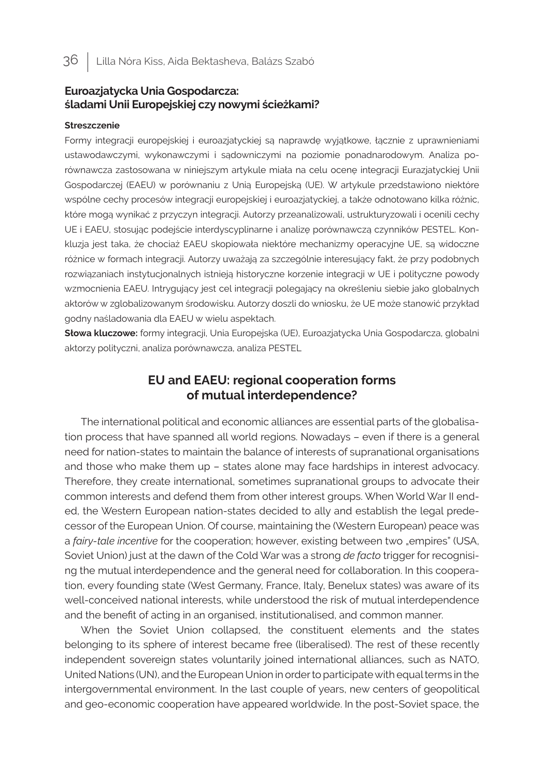## **Euroazjatycka Unia Gospodarcza: śladami Unii Europejskiej czy nowymi ścieżkami?**

### **Streszczenie**

Formy integracji europejskiej i euroazjatyckiej są naprawdę wyjątkowe, łącznie z uprawnieniami ustawodawczymi, wykonawczymi i sądowniczymi na poziomie ponadnarodowym. Analiza porównawcza zastosowana w niniejszym artykule miała na celu ocenę integracji Eurazjatyckiej Unii Gospodarczej (EAEU) w porównaniu z Unią Europejską (UE). W artykule przedstawiono niektóre wspólne cechy procesów integracji europejskiej i euroazjatyckiej, a także odnotowano kilkа różnic, które mogą wynikać z przyczyn integracji. Autorzy przeanalizowali, ustrukturyzowali i ocenili cechy UE i EAEU, stosując podejście interdyscyplinarne i analizę porównawczą czynników PESTEL. Konkluzja jest taka, że chociaż EAEU skopiowała niektóre mechanizmy operacyjne UE, są widoczne różnice w formach integracji. Autorzy uważają za szczególnie interesujący fakt, że przy podobnych rozwiązaniach instytucjonalnych istnieją historyczne korzenie integracji w UE i polityczne powody wzmocnienia EAEU. Intrygujący jest cel integracji polegający na określeniu siebie jako globalnych aktorów w zglobalizowanym środowisku. Autorzy doszli do wniosku, że UE może stanowić przykład godny naśladowania dla EAEU w wielu aspektach.

**Słowa kluczowe:** formy integracji, Unia Europejska (UE), Euroazjatycka Unia Gospodarcza, globalni aktorzy polityczni, analiza porównawcza, analiza PESTEL

# **EU and EAEU: regional cooperation forms of mutual interdependence?**

The international political and economic alliances are essential parts of the globalisation process that have spanned all world regions. Nowadays – even if there is a general need for nation-states to maintain the balance of interests of supranational organisations and those who make them up – states alone may face hardships in interest advocacy. Therefore, they create international, sometimes supranational groups to advocate their common interests and defend them from other interest groups. When World War II ended, the Western European nation-states decided to ally and establish the legal predecessor of the European Union. Of course, maintaining the (Western European) peace was a *fairy-tale incentive* for the cooperation; however, existing between two "empires" (USA, Soviet Union) just at the dawn of the Cold War was a strong *de facto* trigger for recognising the mutual interdependence and the general need for collaboration. In this cooperation, every founding state (West Germany, France, Italy, Benelux states) was aware of its well-conceived national interests, while understood the risk of mutual interdependence and the benefit of acting in an organised, institutionalised, and common manner.

When the Soviet Union collapsed, the constituent elements and the states belonging to its sphere of interest became free (liberalised). The rest of these recently independent sovereign states voluntarily joined international alliances, such as NATO, United Nations (UN), and the European Union in order to participate with equal terms in the intergovernmental environment. In the last couple of years, new centers of geopolitical and geo-economic cooperation have appeared worldwide. In the post-Soviet space, the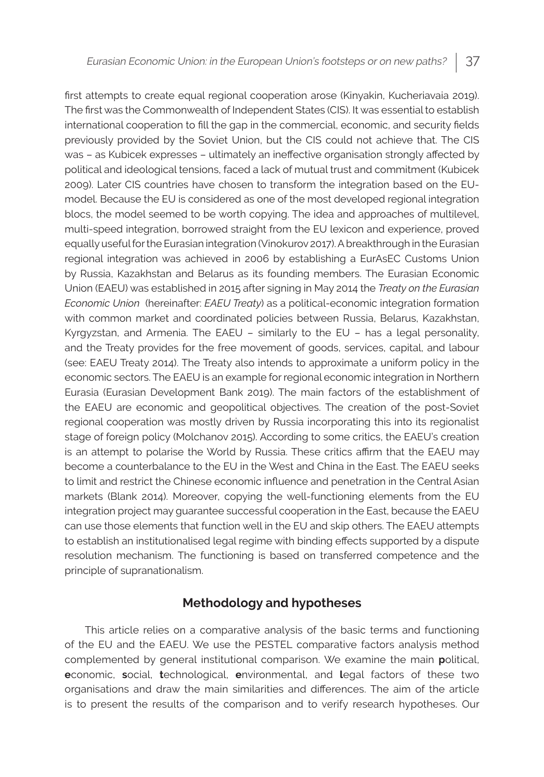first attempts to create equal regional cooperation arose (Kinyakin, Kucheriavaia 2019). The first was the Commonwealth of Independent States (CIS). It was essential to establish international cooperation to fill the gap in the commercial, economic, and security fields previously provided by the Soviet Union, but the CIS could not achieve that. The CIS was – as Kubicek expresses – ultimately an ineffective organisation strongly affected by political and ideological tensions, faced a lack of mutual trust and commitment (Kubicek 2009). Later CIS countries have chosen to transform the integration based on the EUmodel. Because the EU is considered as one of the most developed regional integration blocs, the model seemed to be worth copying. The idea and approaches of multilevel, multi-speed integration, borrowed straight from the EU lexicon and experience, proved equally useful for the Eurasian integration (Vinokurov 2017). A breakthrough in the Eurasian regional integration was achieved in 2006 by establishing a EurAsEC Customs Union by Russia, Kazakhstan and Belarus as its founding members. The Eurasian Economic Union (EAEU) was established in 2015 after signing in May 2014 the *Treaty on the Eurasian Economic Union* (hereinafter: *EAEU Treaty*) as a political-economic integration formation with common market and coordinated policies between Russia, Belarus, Kazakhstan, Kyrgyzstan, and Armenia. The EAEU – similarly to the EU – has a legal personality, and the Treaty provides for the free movement of goods, services, capital, and labour (see: EAEU Treaty 2014). The Treaty also intends to approximate a uniform policy in the economic sectors. The EAEU is an example for regional economic integration in Northern Eurasia (Eurasian Development Bank 2019). The main factors of the establishment of the EAEU are economic and geopolitical objectives. The creation of the post-Soviet regional cooperation was mostly driven by Russia incorporating this into its regionalist stage of foreign policy (Molchanov 2015). According to some critics, the EAEU's creation is an attempt to polarise the World by Russia. These critics affirm that the EAEU may become a counterbalance to the EU in the West and China in the East. The EAEU seeks to limit and restrict the Chinese economic influence and penetration in the Central Asian markets (Blank 2014). Moreover, copying the well-functioning elements from the EU integration project may guarantee successful cooperation in the East, because the EAEU can use those elements that function well in the EU and skip others. The EAEU attempts to establish an institutionalised legal regime with binding effects supported by a dispute resolution mechanism. The functioning is based on transferred competence and the principle of supranationalism.

## **Methodology and hypotheses**

 This article relies on a comparative analysis of the basic terms and functioning of the EU and the EAEU. We use the PESTEL comparative factors analysis method complemented by general institutional comparison. We examine the main **p**olitical, **e**conomic, **s**ocial, **t**echnological, **e**nvironmental, and **l**egal factors of these two organisations and draw the main similarities and differences. The aim of the article is to present the results of the comparison and to verify research hypotheses. Our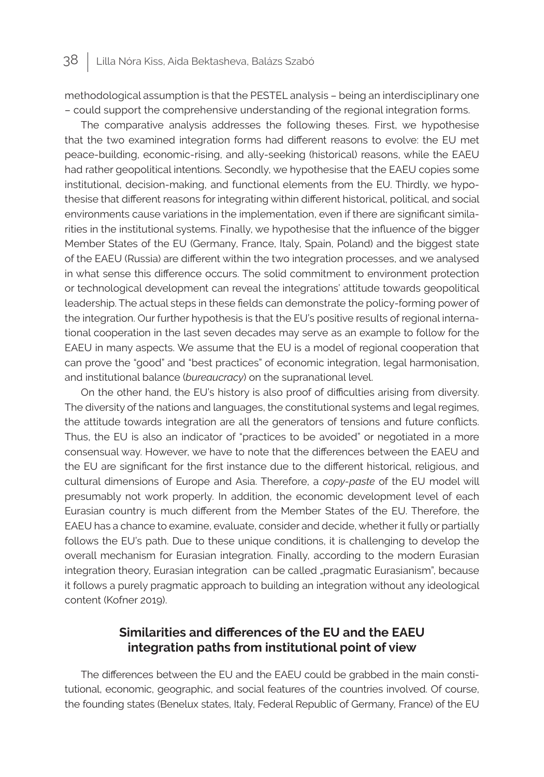methodological assumption is that the PESTEL analysis – being an interdisciplinary one – could support the comprehensive understanding of the regional integration forms.

The comparative analysis addresses the following theses. First, we hypothesise that the two examined integration forms had different reasons to evolve: the EU met peace-building, economic-rising, and ally-seeking (historical) reasons, while the EAEU had rather geopolitical intentions. Secondly, we hypothesise that the EAEU copies some institutional, decision-making, and functional elements from the EU. Thirdly, we hypothesise that different reasons for integrating within different historical, political, and social environments cause variations in the implementation, even if there are significant similarities in the institutional systems. Finally, we hypothesise that the influence of the bigger Member States of the EU (Germany, France, Italy, Spain, Poland) and the biggest state of the EAEU (Russia) are different within the two integration processes, and we analysed in what sense this difference occurs. The solid commitment to environment protection or technological development can reveal the integrations' attitude towards geopolitical leadership. The actual steps in these fields can demonstrate the policy-forming power of the integration. Our further hypothesis is that the EU's positive results of regional international cooperation in the last seven decades may serve as an example to follow for the EAEU in many aspects. We assume that the EU is a model of regional cooperation that can prove the "good" and "best practices" of economic integration, legal harmonisation, and institutional balance (*bureaucracy*) on the supranational level.

On the other hand, the EU's history is also proof of difficulties arising from diversity. The diversity of the nations and languages, the constitutional systems and legal regimes, the attitude towards integration are all the generators of tensions and future conflicts. Thus, the EU is also an indicator of "practices to be avoided" or negotiated in a more consensual way. However, we have to note that the differences between the EAEU and the EU are significant for the first instance due to the different historical, religious, and cultural dimensions of Europe and Asia. Therefore, a *copy-paste* of the EU model will presumably not work properly. In addition, the economic development level of each Eurasian country is much different from the Member States of the EU. Therefore, the EAEU has a chance to examine, evaluate, consider and decide, whether it fully or partially follows the EU's path. Due to these unique conditions, it is challenging to develop the overall mechanism for Eurasian integration. Finally, according to the modern Eurasian integration theory, Eurasian integration can be called "pragmatic Eurasianism", because it follows a purely pragmatic approach to building an integration without any ideological content (Kofner 2019).

# **Similarities and differences of the EU and the EAEU integration paths from institutional point of view**

The differences between the EU and the EAEU could be grabbed in the main constitutional, economic, geographic, and social features of the countries involved. Of course, the founding states (Benelux states, Italy, Federal Republic of Germany, France) of the EU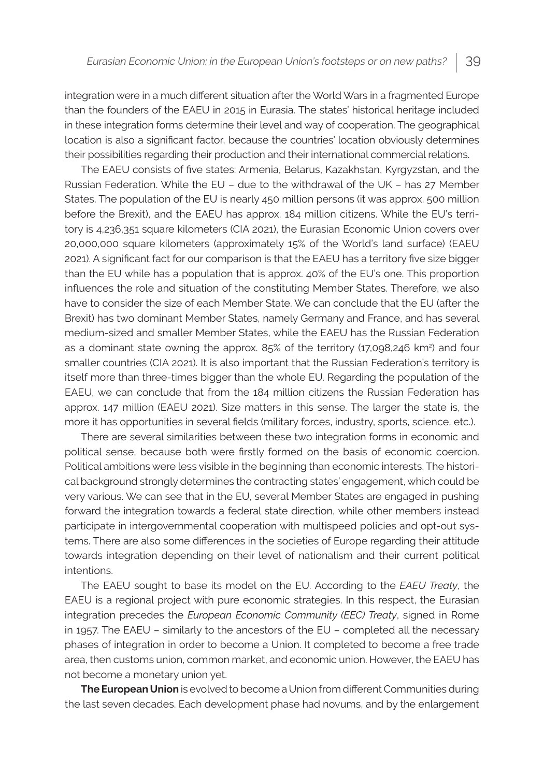integration were in a much different situation after the World Wars in a fragmented Europe than the founders of the EAEU in 2015 in Eurasia. The states' historical heritage included in these integration forms determine their level and way of cooperation. The geographical location is also a significant factor, because the countries' location obviously determines their possibilities regarding their production and their international commercial relations.

The EAEU consists of five states: Armenia, Belarus, Kazakhstan, Kyrgyzstan, and the Russian Federation. While the EU – due to the withdrawal of the UK – has 27 Member States. The population of the EU is nearly 450 million persons (it was approx. 500 million before the Brexit), and the EAEU has approx. 184 million citizens. While the EU's territory is 4,236,351 square kilometers (CIA 2021), the Eurasian Economic Union covers over 20,000,000 square kilometers (approximately 15% of the World's land surface) (EAEU 2021). A significant fact for our comparison is that the EAEU has a territory five size bigger than the EU while has a population that is approx. 40% of the EU's one. This proportion influences the role and situation of the constituting Member States. Therefore, we also have to consider the size of each Member State. We can conclude that the EU (after the Brexit) has two dominant Member States, namely Germany and France, and has several medium-sized and smaller Member States, while the EAEU has the Russian Federation as a dominant state owning the approx. 85% of the territory (17,098,246 km<sup>2</sup>) and four smaller countries (CIA 2021). It is also important that the Russian Federation's territory is itself more than three-times bigger than the whole EU. Regarding the population of the EAEU, we can conclude that from the 184 million citizens the Russian Federation has approx. 147 million (EAEU 2021). Size matters in this sense. The larger the state is, the more it has opportunities in several fields (military forces, industry, sports, science, etc.).

There are several similarities between these two integration forms in economic and political sense, because both were firstly formed on the basis of economic coercion. Political ambitions were less visible in the beginning than economic interests. The historical background strongly determines the contracting states' engagement, which could be very various. We can see that in the EU, several Member States are engaged in pushing forward the integration towards a federal state direction, while other members instead participate in intergovernmental cooperation with multispeed policies and opt-out systems. There are also some differences in the societies of Europe regarding their attitude towards integration depending on their level of nationalism and their current political intentions.

The EAEU sought to base its model on the EU. According to the *EAEU Treaty*, the EAEU is a regional project with pure economic strategies. In this respect, the Eurasian integration precedes the *European Economic Community (EEC) Treaty*, signed in Rome in 1957. The EAEU – similarly to the ancestors of the EU – completed all the necessary phases of integration in order to become a Union. It completed to become a free trade area, then customs union, common market, and economic union. However, the EAEU has not become a monetary union yet.

**The European Union** is evolved to become a Union from different Communities during the last seven decades. Each development phase had novums, and by the enlargement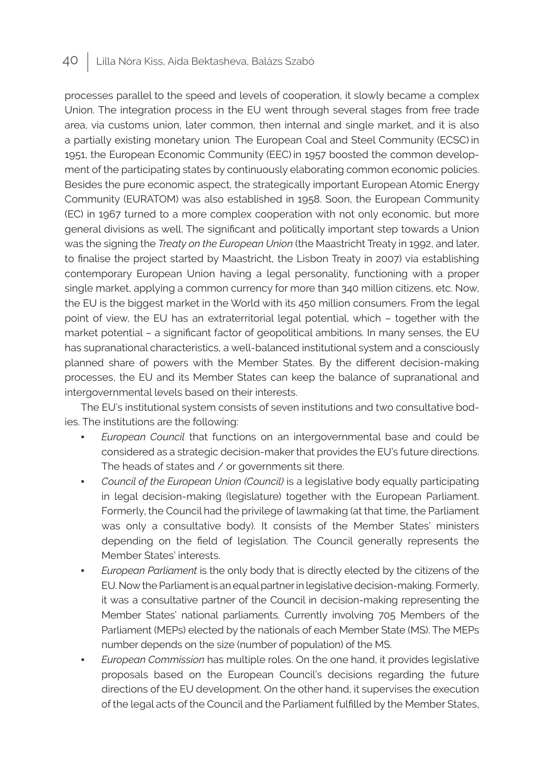processes parallel to the speed and levels of cooperation, it slowly became a complex Union. The integration process in the EU went through several stages from free trade area, via customs union, later common, then internal and single market, and it is also a partially existing monetary union*.* The European Coal and Steel Community (ECSC) in 1951, the European Economic Community (EEC) in 1957 boosted the common development of the participating states by continuously elaborating common economic policies. Besides the pure economic aspect, the strategically important European Atomic Energy Community (EURATOM) was also established in 1958. Soon, the European Community (EC) in 1967 turned to a more complex cooperation with not only economic, but more general divisions as well. The significant and politically important step towards a Union was the signing the *Treaty on the European Union* (the Maastricht Treaty in 1992, and later, to finalise the project started by Maastricht, the Lisbon Treaty in 2007) via establishing contemporary European Union having a legal personality, functioning with a proper single market, applying a common currency for more than 340 million citizens, etc. Now, the EU is the biggest market in the World with its 450 million consumers. From the legal point of view, the EU has an extraterritorial legal potential, which – together with the market potential – a significant factor of geopolitical ambitions. In many senses, the EU has supranational characteristics, a well-balanced institutional system and a consciously planned share of powers with the Member States. By the different decision-making processes, the EU and its Member States can keep the balance of supranational and intergovernmental levels based on their interests.

The EU's institutional system consists of seven institutions and two consultative bodies. The institutions are the following:

- *European Council* that functions on an intergovernmental base and could be considered as a strategic decision-maker that provides the EU's future directions. The heads of states and / or governments sit there.
- *Council of the European Union (Council)* is a legislative body equally participating in legal decision-making (legislature) together with the European Parliament. Formerly, the Council had the privilege of lawmaking (at that time, the Parliament was only a consultative body). It consists of the Member States' ministers depending on the field of legislation. The Council generally represents the Member States' interests.
- *European Parliament* is the only body that is directly elected by the citizens of the EU. Now the Parliament is an equal partner in legislative decision-making. Formerly, it was a consultative partner of the Council in decision-making representing the Member States' national parliaments. Currently involving 705 Members of the Parliament (MEPs) elected by the nationals of each Member State (MS). The MEPs number depends on the size (number of population) of the MS.
- *European Commission* has multiple roles. On the one hand, it provides legislative proposals based on the European Council's decisions regarding the future directions of the EU development. On the other hand, it supervises the execution of the legal acts of the Council and the Parliament fulfilled by the Member States,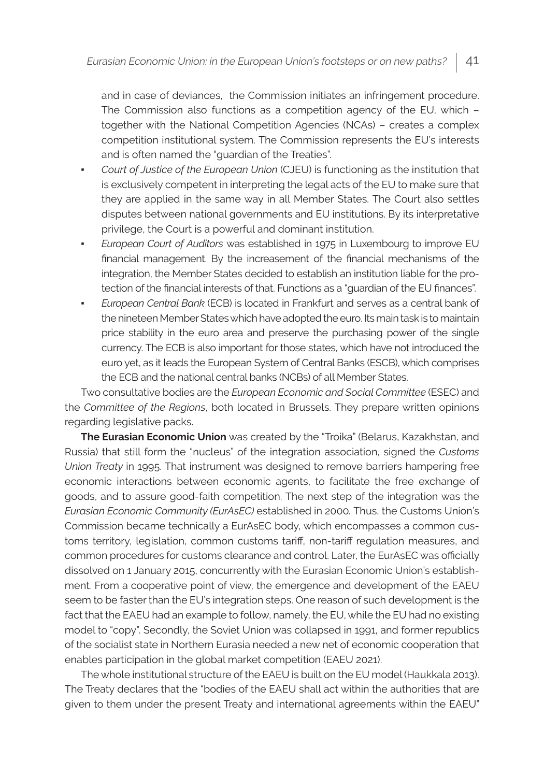and in case of deviances, the Commission initiates an infringement procedure. The Commission also functions as a competition agency of the EU, which – together with the National Competition Agencies (NCAs) – creates a complex competition institutional system. The Commission represents the EU's interests and is often named the "guardian of the Treaties".

- *Court of Justice of the European Union* (CJEU) is functioning as the institution that is exclusively competent in interpreting the legal acts of the EU to make sure that they are applied in the same way in all Member States. The Court also settles disputes between national governments and EU institutions. By its interpretative privilege, the Court is a powerful and dominant institution.
- *European Court of Auditors* was established in 1975 in Luxembourg to improve EU financial management. By the increasement of the financial mechanisms of the integration, the Member States decided to establish an institution liable for the protection of the financial interests of that. Functions as a "guardian of the EU finances".
- *European Central Bank* (ECB) is located in Frankfurt and serves as a central bank of the nineteen Member States which have adopted the euro. Its main task is to maintain price stability in the euro area and preserve the purchasing power of the single currency. The ECB is also important for those states, which have not introduced the euro yet, as it leads the European System of Central Banks (ESCB), which comprises the ECB and the national central banks (NCBs) of all Member States.

Two consultative bodies are the *European Economic and Social Committee* (ESEC) and the *Committee of the Regions*, both located in Brussels. They prepare written opinions regarding legislative packs.

**The Eurasian Economic Union** was created by the "Troika" (Belarus, Kazakhstan, and Russia) that still form the "nucleus" of the integration association, signed the *Customs Union Treaty* in 1995. That instrument was designed to remove barriers hampering free economic interactions between economic agents, to facilitate the free exchange of goods, and to assure good-faith competition. The next step of the integration was the *Eurasian Economic Community (EurAsEC)* established in 2000*.* Thus, the Customs Union's Commission became technically a EurAsEC body, which encompasses a common customs territory, legislation, common customs tariff, non-tariff regulation measures, and common procedures for customs clearance and control. Later, the EurAsEC was officially dissolved on 1 January 2015, concurrently with the Eurasian Economic Union's establishment*.* From a cooperative point of view, the emergence and development of the EAEU seem to be faster than the EU's integration steps. One reason of such development is the fact that the EAEU had an example to follow, namely, the EU, while the EU had no existing model to "copy". Secondly, the Soviet Union was collapsed in 1991, and former republics of the socialist state in Northern Eurasia needed a new net of economic cooperation that enables participation in the global market competition (EAEU 2021).

The whole institutional structure of the EAEU is built on the EU model (Haukkala 2013). The Treaty declares that the "bodies of the EAEU shall act within the authorities that are given to them under the present Treaty and international agreements within the EAEU"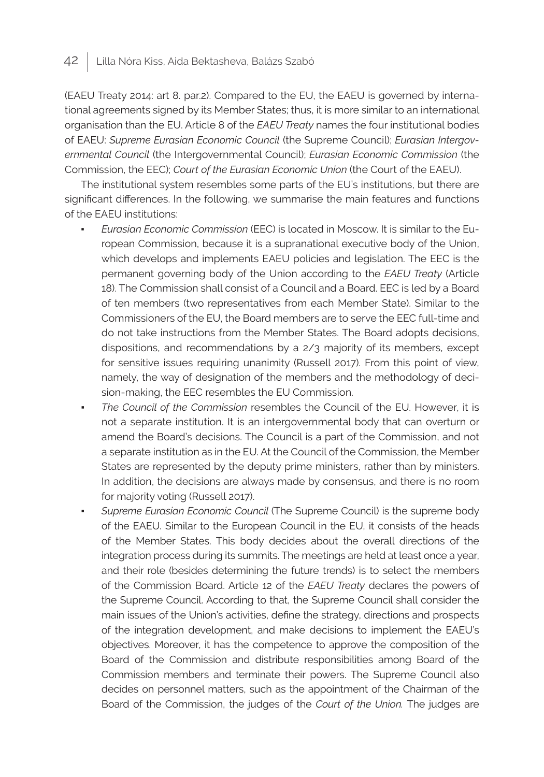(EAEU Treaty 2014: art 8. par.2). Compared to the EU, the EAEU is governed by international agreements signed by its Member States; thus, it is more similar to an international organisation than the EU. Article 8 of the *EAEU Treaty* names the four institutional bodies of EAEU: *Supreme Eurasian Economic Council* (the Supreme Council); *Eurasian Intergovernmental Council* (the Intergovernmental Council); *Eurasian Economic Commission* (the Commission, the EEC); *Court of the Eurasian Economic Union* (the Court of the EAEU).

The institutional system resembles some parts of the EU's institutions, but there are significant differences. In the following, we summarise the main features and functions of the EAEU institutions:

- *Eurasian Economic Commission* (EEC) is located in Moscow. It is similar to the European Commission, because it is a supranational executive body of the Union, which develops and implements EAEU policies and legislation. The EEC is the permanent governing body of the Union according to the *EAEU Treaty* (Article 18). The Commission shall consist of a Council and a Board. EEC is led by a Board of ten members (two representatives from each Member State). Similar to the Commissioners of the EU, the Board members are to serve the EEC full-time and do not take instructions from the Member States. The Board adopts decisions, dispositions, and recommendations by a 2/3 majority of its members, except for sensitive issues requiring unanimity (Russell 2017). From this point of view, namely, the way of designation of the members and the methodology of decision-making, the EEC resembles the EU Commission.
- *The Council of the Commission* resembles the Council of the EU. However, it is not a separate institution. It is an intergovernmental body that can overturn or amend the Board's decisions. The Council is a part of the Commission, and not a separate institution as in the EU. At the Council of the Commission, the Member States are represented by the deputy prime ministers, rather than by ministers. In addition, the decisions are always made by consensus, and there is no room for majority voting (Russell 2017).
- *Supreme Eurasian Economic Council* (The Supreme Council) is the supreme body of the EAEU. Similar to the European Council in the EU, it consists of the heads of the Member States. This body decides about the overall directions of the integration process during its summits. The meetings are held at least once a year, and their role (besides determining the future trends) is to select the members of the Commission Board. Article 12 of the *EAEU Treaty* declares the powers of the Supreme Council. According to that, the Supreme Council shall consider the main issues of the Union's activities, define the strategy, directions and prospects of the integration development, and make decisions to implement the EAEU's objectives. Moreover, it has the competence to approve the composition of the Board of the Commission and distribute responsibilities among Board of the Commission members and terminate their powers. The Supreme Council also decides on personnel matters, such as the appointment of the Chairman of the Board of the Commission, the judges of the *Court of the Union.* The judges are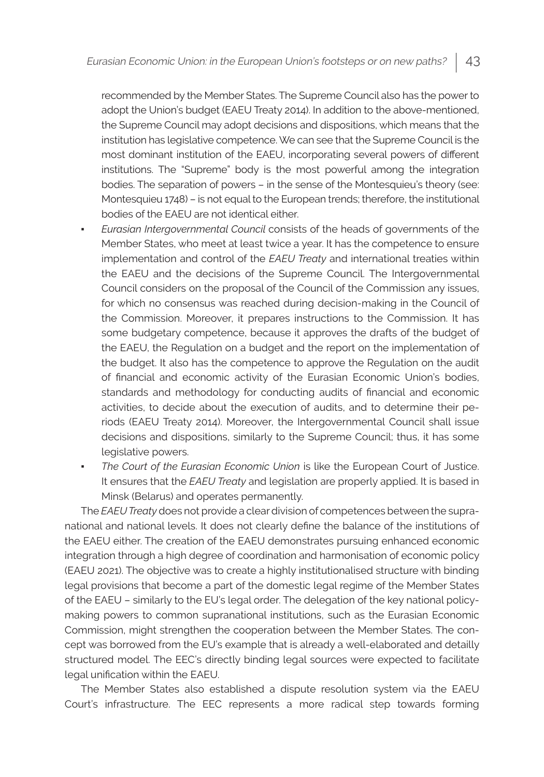recommended by the Member States. The Supreme Council also has the power to adopt the Union's budget (EAEU Treaty 2014). In addition to the above-mentioned, the Supreme Council may adopt decisions and dispositions, which means that the institution has legislative competence. We can see that the Supreme Council is the most dominant institution of the EAEU, incorporating several powers of different institutions. The "Supreme" body is the most powerful among the integration bodies. The separation of powers – in the sense of the Montesquieu's theory (see: Montesquieu 1748) – is not equal to the European trends; therefore, the institutional bodies of the EAEU are not identical either.

- *Eurasian Intergovernmental Council* consists of the heads of governments of the Member States, who meet at least twice a year. It has the competence to ensure implementation and control of the *EAEU Treaty* and international treaties within the EAEU and the decisions of the Supreme Council. The Intergovernmental Council considers on the proposal of the Council of the Commission any issues, for which no consensus was reached during decision-making in the Council of the Commission. Moreover, it prepares instructions to the Commission. It has some budgetary competence, because it approves the drafts of the budget of the EAEU, the Regulation on a budget and the report on the implementation of the budget. It also has the competence to approve the Regulation on the audit of financial and economic activity of the Eurasian Economic Union's bodies, standards and methodology for conducting audits of financial and economic activities, to decide about the execution of audits, and to determine their periods (EAEU Treaty 2014). Moreover, the Intergovernmental Council shall issue decisions and dispositions, similarly to the Supreme Council; thus, it has some legislative powers.
- The Court of the Eurasian Economic Union is like the European Court of Justice. It ensures that the *EAEU Treaty* and legislation are properly applied. It is based in Minsk (Belarus) and operates permanently.

The *EAEU Treaty* does not provide a clear division of competences between the supranational and national levels. It does not clearly define the balance of the institutions of the EAEU either. The creation of the EAEU demonstrates pursuing enhanced economic integration through a high degree of coordination and harmonisation of economic policy (EAEU 2021). The objective was to create a highly institutionalised structure with binding legal provisions that become a part of the domestic legal regime of the Member States of the EAEU – similarly to the EU's legal order. The delegation of the key national policymaking powers to common supranational institutions, such as the Eurasian Economic Commission, might strengthen the cooperation between the Member States. The concept was borrowed from the EU's example that is already a well-elaborated and detailly structured model. The EEC's directly binding legal sources were expected to facilitate legal unification within the EAEU.

The Member States also established a dispute resolution system via the EAEU Court's infrastructure. The EEC represents a more radical step towards forming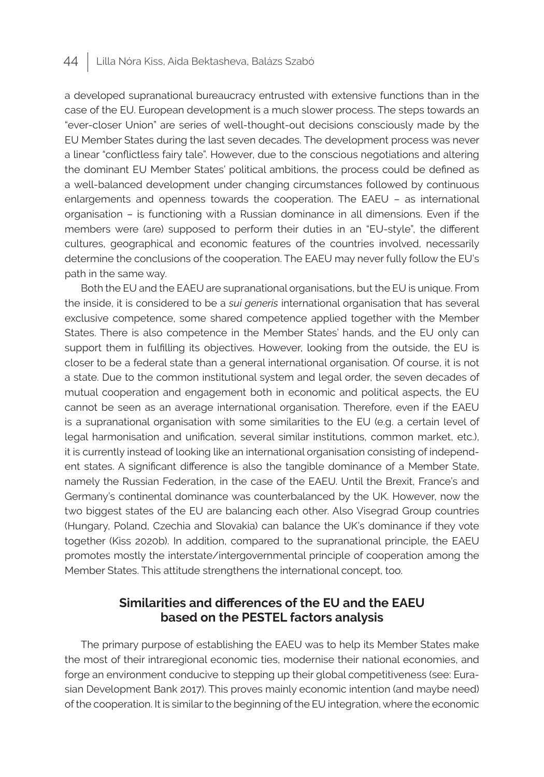a developed supranational bureaucracy entrusted with extensive functions than in the case of the EU. European development is a much slower process. The steps towards an "ever-closer Union" are series of well-thought-out decisions consciously made by the EU Member States during the last seven decades. The development process was never a linear "conflictless fairy tale". However, due to the conscious negotiations and altering the dominant EU Member States' political ambitions, the process could be defined as a well-balanced development under changing circumstances followed by continuous enlargements and openness towards the cooperation. The EAEU – as international organisation – is functioning with a Russian dominance in all dimensions. Even if the members were (are) supposed to perform their duties in an "EU-style", the different cultures, geographical and economic features of the countries involved, necessarily determine the conclusions of the cooperation. The EAEU may never fully follow the EU's path in the same way.

Both the EU and the EAEU are supranational organisations, but the EU is unique. From the inside, it is considered to be a *sui generis* international organisation that has several exclusive competence, some shared competence applied together with the Member States. There is also competence in the Member States' hands, and the EU only can support them in fulfilling its objectives. However, looking from the outside, the EU is closer to be a federal state than a general international organisation. Of course, it is not a state. Due to the common institutional system and legal order, the seven decades of mutual cooperation and engagement both in economic and political aspects, the EU cannot be seen as an average international organisation. Therefore, even if the EAEU is a supranational organisation with some similarities to the EU (e.g. a certain level of legal harmonisation and unification, several similar institutions, common market, etc.), it is currently instead of looking like an international organisation consisting of independent states. A significant difference is also the tangible dominance of a Member State, namely the Russian Federation, in the case of the EAEU. Until the Brexit, France's and Germany's continental dominance was counterbalanced by the UK. However, now the two biggest states of the EU are balancing each other. Also Visegrad Group countries (Hungary, Poland, Czechia and Slovakia) can balance the UK's dominance if they vote together (Kiss 2020b). In addition, compared to the supranational principle, the EAEU promotes mostly the interstate/intergovernmental principle of cooperation among the Member States. This attitude strengthens the international concept, too.

## **Similarities and differences of the EU and the EAEU based on the PESTEL factors analysis**

The primary purpose of establishing the EAEU was to help its Member States make the most of their intraregional economic ties, modernise their national economies, and forge an environment conducive to stepping up their global competitiveness (see: Eurasian Development Bank 2017). This proves mainly economic intention (and maybe need) of the cooperation. It is similar to the beginning of the EU integration, where the economic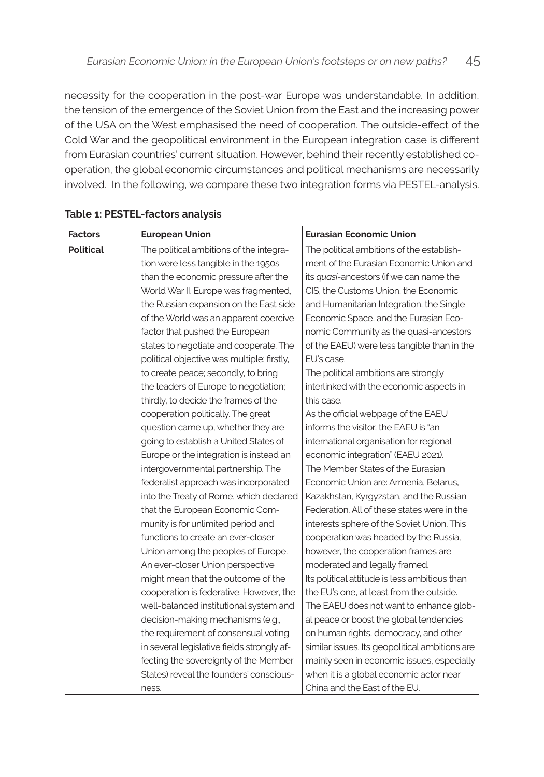necessity for the cooperation in the post-war Europe was understandable. In addition, the tension of the emergence of the Soviet Union from the East and the increasing power of the USA on the West emphasised the need of cooperation. The outside-effect of the Cold War and the geopolitical environment in the European integration case is different from Eurasian countries' current situation. However, behind their recently established cooperation, the global economic circumstances and political mechanisms are necessarily involved. In the following, we compare these two integration forms via PESTEL-analysis.

| <b>Factors</b>   | <b>European Union</b>                      | <b>Eurasian Economic Union</b>                 |
|------------------|--------------------------------------------|------------------------------------------------|
| <b>Political</b> | The political ambitions of the integra-    | The political ambitions of the establish-      |
|                  | tion were less tangible in the 1950s       | ment of the Eurasian Economic Union and        |
|                  | than the economic pressure after the       | its quasi-ancestors (if we can name the        |
|                  | World War II. Europe was fragmented,       | CIS, the Customs Union, the Economic           |
|                  | the Russian expansion on the East side     | and Humanitarian Integration, the Single       |
|                  | of the World was an apparent coercive      | Economic Space, and the Eurasian Eco-          |
|                  | factor that pushed the European            | nomic Community as the quasi-ancestors         |
|                  | states to negotiate and cooperate. The     | of the EAEU) were less tangible than in the    |
|                  | political objective was multiple: firstly, | EU's case.                                     |
|                  | to create peace; secondly, to bring        | The political ambitions are strongly           |
|                  | the leaders of Europe to negotiation;      | interlinked with the economic aspects in       |
|                  | thirdly, to decide the frames of the       | this case.                                     |
|                  | cooperation politically. The great         | As the official webpage of the EAEU            |
|                  | question came up, whether they are         | informs the visitor, the EAEU is "an           |
|                  | going to establish a United States of      | international organisation for regional        |
|                  | Europe or the integration is instead an    | economic integration" (EAEU 2021).             |
|                  | intergovernmental partnership. The         | The Member States of the Eurasian              |
|                  | federalist approach was incorporated       | Economic Union are: Armenia, Belarus,          |
|                  | into the Treaty of Rome, which declared    | Kazakhstan, Kyrgyzstan, and the Russian        |
|                  | that the European Economic Com-            | Federation. All of these states were in the    |
|                  | munity is for unlimited period and         | interests sphere of the Soviet Union. This     |
|                  | functions to create an ever-closer         | cooperation was headed by the Russia,          |
|                  | Union among the peoples of Europe.         | however, the cooperation frames are            |
|                  | An ever-closer Union perspective           | moderated and legally framed.                  |
|                  | might mean that the outcome of the         | Its political attitude is less ambitious than  |
|                  | cooperation is federative. However, the    | the EU's one, at least from the outside.       |
|                  | well-balanced institutional system and     | The EAEU does not want to enhance glob-        |
|                  | decision-making mechanisms (e.g.,          | al peace or boost the global tendencies        |
|                  | the requirement of consensual voting       | on human rights, democracy, and other          |
|                  | in several legislative fields strongly af- | similar issues. Its geopolitical ambitions are |
|                  | fecting the sovereignty of the Member      | mainly seen in economic issues, especially     |
|                  | States) reveal the founders' conscious-    | when it is a global economic actor near        |
|                  | ness.                                      | China and the East of the EU.                  |

## **Table 1: PESTEL-factors analysis**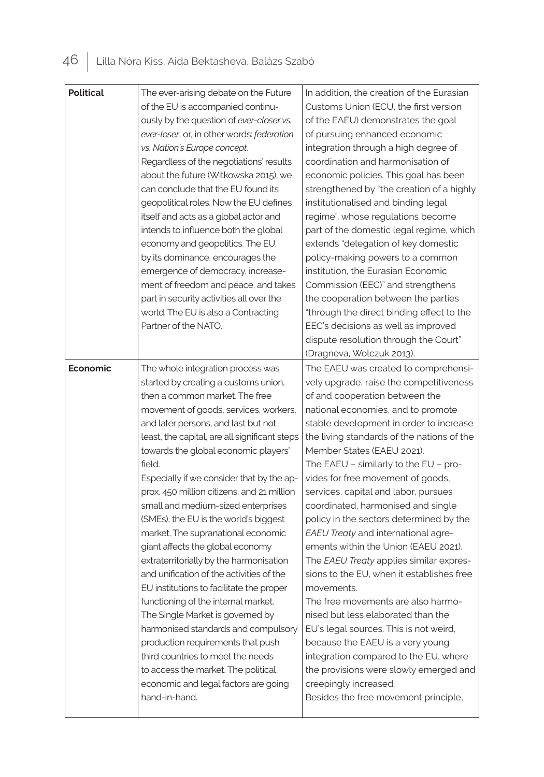| <b>Political</b> | The ever-arising debate on the Future<br>of the EU is accompanied continu-<br>ously by the question of ever-closer vs.<br>ever-loser, or, in other words: federation<br>vs. Nation's Europe concept.<br>Regardless of the negotiations' results<br>about the future (Witkowska 2015), we<br>can conclude that the EU found its<br>geopolitical roles. Now the EU defines<br>itself and acts as a global actor and<br>intends to influence both the global<br>economy and geopolitics. The EU,<br>by its dominance, encourages the<br>emergence of democracy, increase-<br>ment of freedom and peace, and takes<br>part in security activities all over the<br>world. The EU is also a Contracting<br>Partner of the NATO.                                                                                                                                                                                                                                                          | In addition, the creation of the Eurasian<br>Customs Union (ECU, the first version<br>of the EAEU) demonstrates the goal<br>of pursuing enhanced economic<br>integration through a high degree of<br>coordination and harmonisation of<br>economic policies. This goal has been<br>strengthened by "the creation of a highly<br>institutionalised and binding legal<br>regime", whose regulations become<br>part of the domestic legal regime, which<br>extends "delegation of key domestic<br>policy-making powers to a common<br>institution, the Eurasian Economic<br>Commission (EEC)" and strengthens<br>the cooperation between the parties<br>"through the direct binding effect to the<br>EEC's decisions as well as improved<br>dispute resolution through the Court"                                                                                                                                                                                                           |
|------------------|------------------------------------------------------------------------------------------------------------------------------------------------------------------------------------------------------------------------------------------------------------------------------------------------------------------------------------------------------------------------------------------------------------------------------------------------------------------------------------------------------------------------------------------------------------------------------------------------------------------------------------------------------------------------------------------------------------------------------------------------------------------------------------------------------------------------------------------------------------------------------------------------------------------------------------------------------------------------------------|------------------------------------------------------------------------------------------------------------------------------------------------------------------------------------------------------------------------------------------------------------------------------------------------------------------------------------------------------------------------------------------------------------------------------------------------------------------------------------------------------------------------------------------------------------------------------------------------------------------------------------------------------------------------------------------------------------------------------------------------------------------------------------------------------------------------------------------------------------------------------------------------------------------------------------------------------------------------------------------|
|                  |                                                                                                                                                                                                                                                                                                                                                                                                                                                                                                                                                                                                                                                                                                                                                                                                                                                                                                                                                                                    | (Dragneva, Wolczuk 2013).                                                                                                                                                                                                                                                                                                                                                                                                                                                                                                                                                                                                                                                                                                                                                                                                                                                                                                                                                                |
| Economic         | The whole integration process was<br>started by creating a customs union,<br>then a common market. The free<br>movement of goods, services, workers,<br>and later persons, and last but not<br>least, the capital, are all significant steps<br>towards the global economic players'<br>field.<br>Especially if we consider that by the ap-<br>prox. 450 million citizens, and 21 million<br>small and medium-sized enterprises<br>(SMEs), the EU is the world's biggest<br>market. The supranational economic<br>giant affects the global economy<br>extraterritorially by the harmonisation<br>and unification of the activities of the<br>EU institutions to facilitate the proper<br>functioning of the internal market.<br>The Single Market is governed by<br>harmonised standards and compulsory<br>production requirements that push<br>third countries to meet the needs<br>to access the market. The political,<br>economic and legal factors are going<br>hand-in-hand. | The EAEU was created to comprehensi-<br>vely upgrade, raise the competitiveness<br>of and cooperation between the<br>national economies, and to promote<br>stable development in order to increase<br>the living standards of the nations of the<br>Member States (EAEU 2021).<br>The EAEU - similarly to the EU - pro-<br>vides for free movement of goods,<br>services, capital and labor, pursues<br>coordinated, harmonised and single<br>policy in the sectors determined by the<br>EAEU Treaty and international agre-<br>ements within the Union (EAEU 2021).<br>The EAEU Treaty applies similar expres-<br>sions to the EU, when it establishes free<br>movements.<br>The free movements are also harmo-<br>nised but less elaborated than the<br>EU's legal sources. This is not weird,<br>because the EAEU is a very young<br>integration compared to the EU, where<br>the provisions were slowly emerged and<br>creepingly increased.<br>Besides the free movement principle, |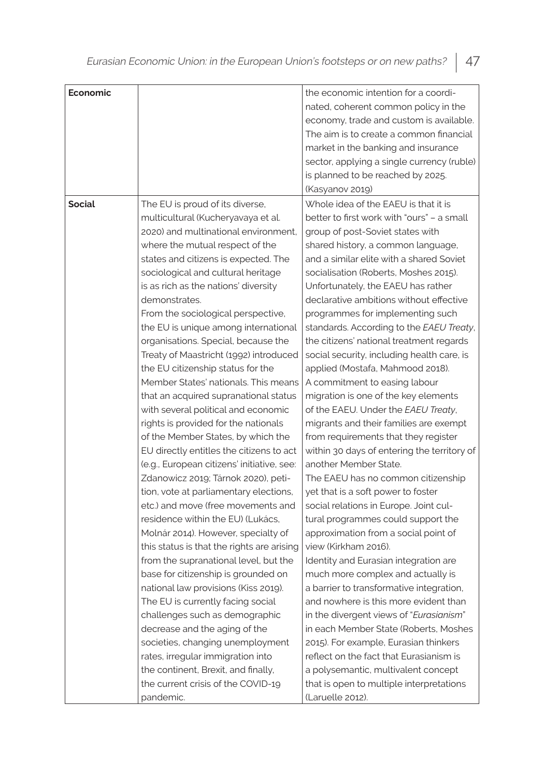| Economic      |                                            | the economic intention for a coordi-        |
|---------------|--------------------------------------------|---------------------------------------------|
|               |                                            | nated, coherent common policy in the        |
|               |                                            | economy, trade and custom is available.     |
|               |                                            | The aim is to create a common financial     |
|               |                                            | market in the banking and insurance         |
|               |                                            | sector, applying a single currency (ruble)  |
|               |                                            |                                             |
|               |                                            | is planned to be reached by 2025.           |
|               |                                            | (Kasyanov 2019)                             |
| <b>Social</b> | The EU is proud of its diverse,            | Whole idea of the EAEU is that it is        |
|               | multicultural (Kucheryavaya et al.         | better to first work with "ours" - a small  |
|               | 2020) and multinational environment.       | group of post-Soviet states with            |
|               | where the mutual respect of the            | shared history, a common language,          |
|               | states and citizens is expected. The       | and a similar elite with a shared Soviet    |
|               | sociological and cultural heritage         | socialisation (Roberts, Moshes 2015).       |
|               | is as rich as the nations' diversity       | Unfortunately, the EAEU has rather          |
|               | demonstrates.                              | declarative ambitions without effective     |
|               | From the sociological perspective,         | programmes for implementing such            |
|               | the EU is unique among international       | standards. According to the EAEU Treaty,    |
|               | organisations. Special, because the        | the citizens' national treatment regards    |
|               | Treaty of Maastricht (1992) introduced     | social security, including health care, is  |
|               | the EU citizenship status for the          | applied (Mostafa, Mahmood 2018).            |
|               | Member States' nationals. This means       | A commitment to easing labour               |
|               | that an acquired supranational status      | migration is one of the key elements        |
|               | with several political and economic        | of the EAEU. Under the EAEU Treaty,         |
|               | rights is provided for the nationals       | migrants and their families are exempt      |
|               | of the Member States, by which the         | from requirements that they register        |
|               | EU directly entitles the citizens to act   | within 30 days of entering the territory of |
|               | (e.g., European citizens' initiative, see: | another Member State.                       |
|               | Zdanowicz 2019; Tárnok 2020), peti-        | The EAEU has no common citizenship          |
|               | tion, vote at parliamentary elections,     | yet that is a soft power to foster          |
|               | etc.) and move (free movements and         | social relations in Europe. Joint cul-      |
|               | residence within the EU) (Lukács,          | tural programmes could support the          |
|               | Molnár 2014). However, specialty of        | approximation from a social point of        |
|               | this status is that the rights are arising | view (Kirkham 2016).                        |
|               | from the supranational level, but the      | Identity and Eurasian integration are       |
|               | base for citizenship is grounded on        | much more complex and actually is           |
|               | national law provisions (Kiss 2019).       | a barrier to transformative integration,    |
|               | The EU is currently facing social          | and nowhere is this more evident than       |
|               | challenges such as demographic             | in the divergent views of "Eurasianism"     |
|               | decrease and the aging of the              | in each Member State (Roberts, Moshes       |
|               | societies, changing unemployment           | 2015). For example, Eurasian thinkers       |
|               | rates, irregular immigration into          | reflect on the fact that Eurasianism is     |
|               | the continent, Brexit, and finally,        | a polysemantic, multivalent concept         |
|               | the current crisis of the COVID-19         | that is open to multiple interpretations    |
|               | pandemic.                                  | (Laruelle 2012).                            |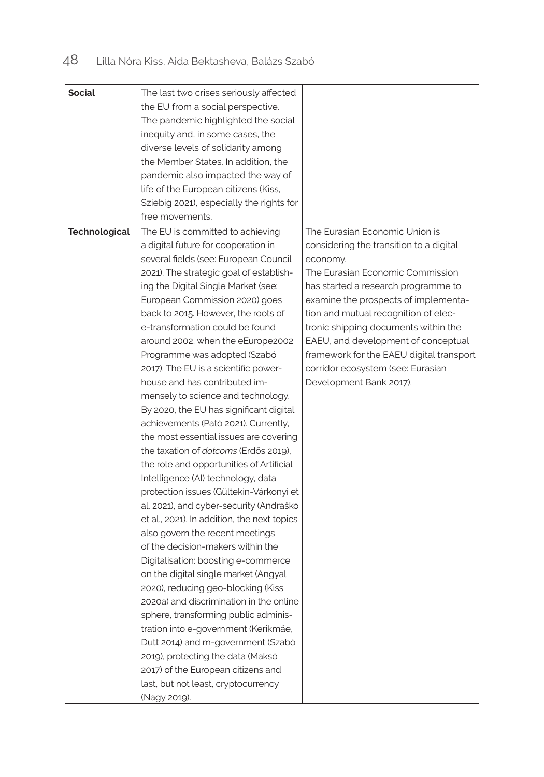| <b>Social</b>        | The last two crises seriously affected       |                                          |
|----------------------|----------------------------------------------|------------------------------------------|
|                      | the EU from a social perspective.            |                                          |
|                      | The pandemic highlighted the social          |                                          |
|                      | inequity and, in some cases, the             |                                          |
|                      | diverse levels of solidarity among           |                                          |
|                      | the Member States. In addition, the          |                                          |
|                      | pandemic also impacted the way of            |                                          |
|                      | life of the European citizens (Kiss,         |                                          |
|                      | Sziebig 2021), especially the rights for     |                                          |
|                      | free movements.                              |                                          |
| <b>Technological</b> | The EU is committed to achieving             | The Eurasian Economic Union is           |
|                      | a digital future for cooperation in          | considering the transition to a digital  |
|                      | several fields (see: European Council        | economy.                                 |
|                      | 2021). The strategic goal of establish-      | The Eurasian Economic Commission         |
|                      | ing the Digital Single Market (see:          | has started a research programme to      |
|                      | European Commission 2020) goes               | examine the prospects of implementa-     |
|                      | back to 2015. However, the roots of          | tion and mutual recognition of elec-     |
|                      | e-transformation could be found              | tronic shipping documents within the     |
|                      | around 2002, when the eEurope2002            | EAEU, and development of conceptual      |
|                      | Programme was adopted (Szabó                 | framework for the EAEU digital transport |
|                      | 2017). The EU is a scientific power-         | corridor ecosystem (see: Eurasian        |
|                      | house and has contributed im-                | Development Bank 2017).                  |
|                      | mensely to science and technology.           |                                          |
|                      | By 2020, the EU has significant digital      |                                          |
|                      | achievements (Pató 2021). Currently,         |                                          |
|                      | the most essential issues are covering       |                                          |
|                      | the taxation of <i>dotcoms</i> (Erdős 2019). |                                          |
|                      | the role and opportunities of Artificial     |                                          |
|                      | Intelligence (AI) technology, data           |                                          |
|                      | protection issues (Gültekin-Várkonyi et      |                                          |
|                      | al. 2021), and cyber-security (Andraško      |                                          |
|                      | et al., 2021). In addition, the next topics  |                                          |
|                      | also govern the recent meetings              |                                          |
|                      | of the decision-makers within the            |                                          |
|                      | Digitalisation: boosting e-commerce          |                                          |
|                      | on the digital single market (Angyal         |                                          |
|                      | 2020), reducing geo-blocking (Kiss           |                                          |
|                      | 2020a) and discrimination in the online      |                                          |
|                      | sphere, transforming public adminis-         |                                          |
|                      | tration into e-government (Kerikmäe,         |                                          |
|                      | Dutt 2014) and m-government (Szabó           |                                          |
|                      | 2019), protecting the data (Maksó            |                                          |
|                      | 2017) of the European citizens and           |                                          |
|                      | last, but not least, cryptocurrency          |                                          |
|                      | (Nagy 2019).                                 |                                          |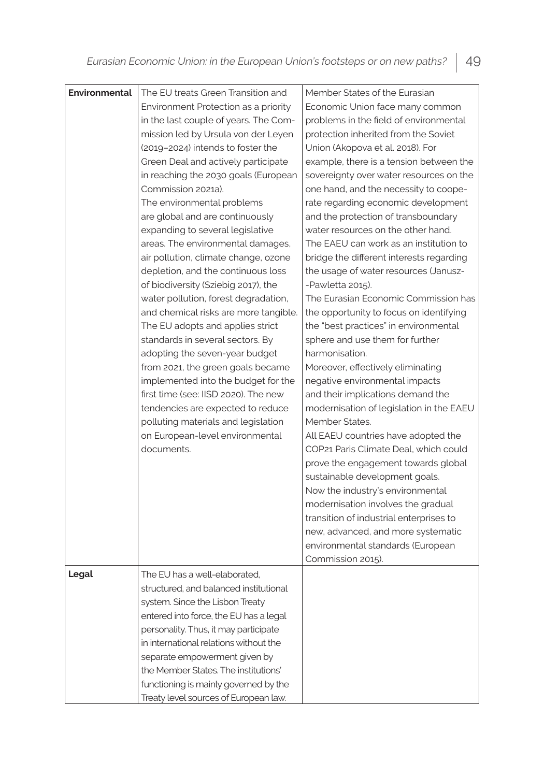| <b>Environmental</b> | The EU treats Green Transition and     | Member States of the Eurasian            |
|----------------------|----------------------------------------|------------------------------------------|
|                      | Environment Protection as a priority   | Economic Union face many common          |
|                      | in the last couple of years. The Com-  | problems in the field of environmental   |
|                      | mission led by Ursula von der Leyen    | protection inherited from the Soviet     |
|                      | (2019-2024) intends to foster the      | Union (Akopova et al. 2018). For         |
|                      | Green Deal and actively participate    | example, there is a tension between the  |
|                      | in reaching the 2030 goals (European   | sovereignty over water resources on the  |
|                      | Commission 2021a).                     | one hand, and the necessity to coope-    |
|                      | The environmental problems             | rate regarding economic development      |
|                      | are global and are continuously        | and the protection of transboundary      |
|                      | expanding to several legislative       | water resources on the other hand.       |
|                      | areas. The environmental damages,      | The EAEU can work as an institution to   |
|                      | air pollution, climate change, ozone   | bridge the different interests regarding |
|                      | depletion, and the continuous loss     | the usage of water resources (Janusz-    |
|                      | of biodiversity (Sziebig 2017), the    | -Pawletta 2015).                         |
|                      | water pollution, forest degradation,   | The Eurasian Economic Commission has     |
|                      | and chemical risks are more tangible.  | the opportunity to focus on identifying  |
|                      | The EU adopts and applies strict       | the "best practices" in environmental    |
|                      | standards in several sectors. By       | sphere and use them for further          |
|                      | adopting the seven-year budget         | harmonisation.                           |
|                      | from 2021, the green goals became      | Moreover, effectively eliminating        |
|                      | implemented into the budget for the    | negative environmental impacts           |
|                      | first time (see: IISD 2020). The new   | and their implications demand the        |
|                      | tendencies are expected to reduce      | modernisation of legislation in the EAEU |
|                      | polluting materials and legislation    | Member States.                           |
|                      | on European-level environmental        | All EAEU countries have adopted the      |
|                      | documents.                             | COP21 Paris Climate Deal, which could    |
|                      |                                        | prove the engagement towards global      |
|                      |                                        | sustainable development goals.           |
|                      |                                        | Now the industry's environmental         |
|                      |                                        | modernisation involves the gradual       |
|                      |                                        | transition of industrial enterprises to  |
|                      |                                        | new, advanced, and more systematic       |
|                      |                                        | environmental standards (European        |
|                      |                                        | Commission 2015).                        |
| Legal                | The EU has a well-elaborated,          |                                          |
|                      | structured, and balanced institutional |                                          |
|                      | system. Since the Lisbon Treaty        |                                          |
|                      | entered into force, the EU has a legal |                                          |
|                      | personality. Thus, it may participate  |                                          |
|                      | in international relations without the |                                          |
|                      | separate empowerment given by          |                                          |
|                      | the Member States. The institutions'   |                                          |
|                      | functioning is mainly governed by the  |                                          |
|                      | Treaty level sources of European law.  |                                          |
|                      |                                        |                                          |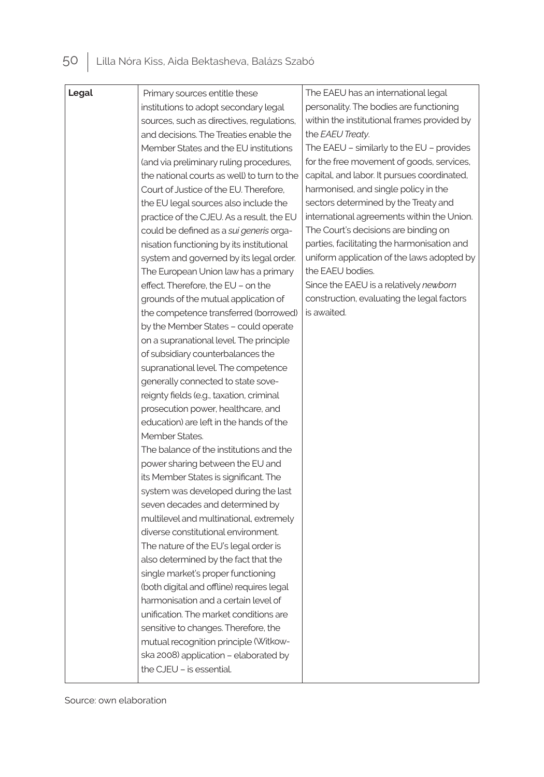| Legal | Primary sources entitle these               | The EAEU has an international legal           |
|-------|---------------------------------------------|-----------------------------------------------|
|       | institutions to adopt secondary legal       | personality. The bodies are functioning       |
|       | sources, such as directives, regulations,   | within the institutional frames provided by   |
|       | and decisions. The Treaties enable the      | the EAEU Treaty.                              |
|       | Member States and the EU institutions       | The EAEU $-$ similarly to the EU $-$ provides |
|       | (and via preliminary ruling procedures,     | for the free movement of goods, services,     |
|       | the national courts as well) to turn to the | capital, and labor. It pursues coordinated,   |
|       | Court of Justice of the EU. Therefore,      | harmonised, and single policy in the          |
|       | the EU legal sources also include the       | sectors determined by the Treaty and          |
|       | practice of the CJEU. As a result, the EU   | international agreements within the Union.    |
|       | could be defined as a sui generis orga-     | The Court's decisions are binding on          |
|       | nisation functioning by its institutional   | parties, facilitating the harmonisation and   |
|       | system and governed by its legal order.     | uniform application of the laws adopted by    |
|       | The European Union law has a primary        | the EAEU bodies.                              |
|       | effect. Therefore, the EU - on the          | Since the EAEU is a relatively newborn        |
|       | grounds of the mutual application of        | construction, evaluating the legal factors    |
|       | the competence transferred (borrowed)       | is awaited.                                   |
|       | by the Member States - could operate        |                                               |
|       | on a supranational level. The principle     |                                               |
|       | of subsidiary counterbalances the           |                                               |
|       | supranational level. The competence         |                                               |
|       | generally connected to state sove-          |                                               |
|       | reignty fields (e.g., taxation, criminal    |                                               |
|       | prosecution power, healthcare, and          |                                               |
|       | education) are left in the hands of the     |                                               |
|       | Member States.                              |                                               |
|       | The balance of the institutions and the     |                                               |
|       | power sharing between the EU and            |                                               |
|       | its Member States is significant. The       |                                               |
|       | system was developed during the last        |                                               |
|       | seven decades and determined by             |                                               |
|       | multilevel and multinational, extremely     |                                               |
|       | diverse constitutional environment.         |                                               |
|       | The nature of the EU's legal order is       |                                               |
|       | also determined by the fact that the        |                                               |
|       | single market's proper functioning          |                                               |
|       | (both digital and offline) requires legal   |                                               |
|       | harmonisation and a certain level of        |                                               |
|       | unification. The market conditions are      |                                               |
|       | sensitive to changes. Therefore, the        |                                               |
|       | mutual recognition principle (Witkow-       |                                               |
|       | ska 2008) application - elaborated by       |                                               |
|       | the CJEU - is essential.                    |                                               |

Source: own elaboration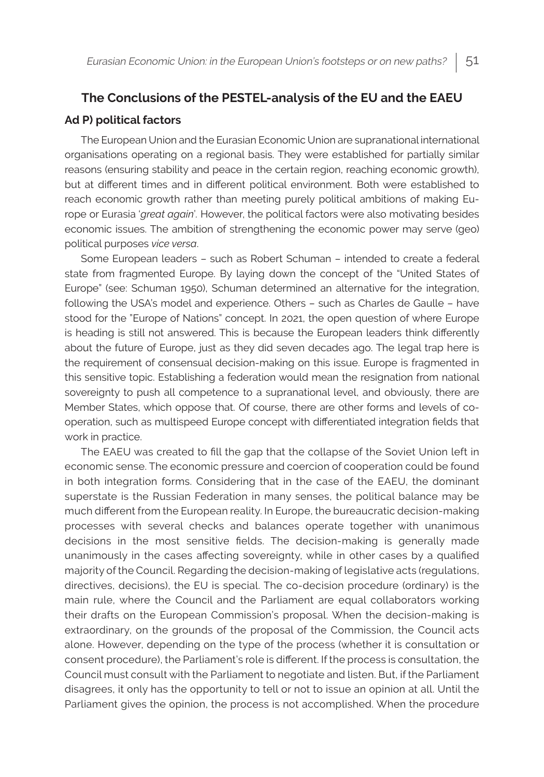# **The Conclusions of the PESTEL-analysis of the EU and the EAEU Ad P) political factors**

The European Union and the Eurasian Economic Union are supranational international organisations operating on a regional basis. They were established for partially similar reasons (ensuring stability and peace in the certain region, reaching economic growth), but at different times and in different political environment. Both were established to reach economic growth rather than meeting purely political ambitions of making Europe or Eurasia '*great again*'*.* However, the political factors were also motivating besides economic issues. The ambition of strengthening the economic power may serve (geo) political purposes *vice versa*.

Some European leaders – such as Robert Schuman – intended to create a federal state from fragmented Europe. By laying down the concept of the "United States of Europe" (see: Schuman 1950), Schuman determined an alternative for the integration, following the USA's model and experience. Others – such as Charles de Gaulle – have stood for the "Europe of Nations" concept. In 2021, the open question of where Europe is heading is still not answered. This is because the European leaders think differently about the future of Europe, just as they did seven decades ago. The legal trap here is the requirement of consensual decision-making on this issue. Europe is fragmented in this sensitive topic. Establishing a federation would mean the resignation from national sovereignty to push all competence to a supranational level, and obviously, there are Member States, which oppose that. Of course, there are other forms and levels of cooperation, such as multispeed Europe concept with differentiated integration fields that work in practice.

The EAEU was created to fill the gap that the collapse of the Soviet Union left in economic sense. The economic pressure and coercion of cooperation could be found in both integration forms. Considering that in the case of the EAEU, the dominant superstate is the Russian Federation in many senses, the political balance may be much different from the European reality. In Europe, the bureaucratic decision-making processes with several checks and balances operate together with unanimous decisions in the most sensitive fields. The decision-making is generally made unanimously in the cases affecting sovereignty, while in other cases by a qualified majority of the Council. Regarding the decision-making of legislative acts (regulations, directives, decisions), the EU is special. The co-decision procedure (ordinary) is the main rule, where the Council and the Parliament are equal collaborators working their drafts on the European Commission's proposal. When the decision-making is extraordinary, on the grounds of the proposal of the Commission, the Council acts alone. However, depending on the type of the process (whether it is consultation or consent procedure), the Parliament's role is different. If the process is consultation, the Council must consult with the Parliament to negotiate and listen. But, if the Parliament disagrees, it only has the opportunity to tell or not to issue an opinion at all. Until the Parliament gives the opinion, the process is not accomplished. When the procedure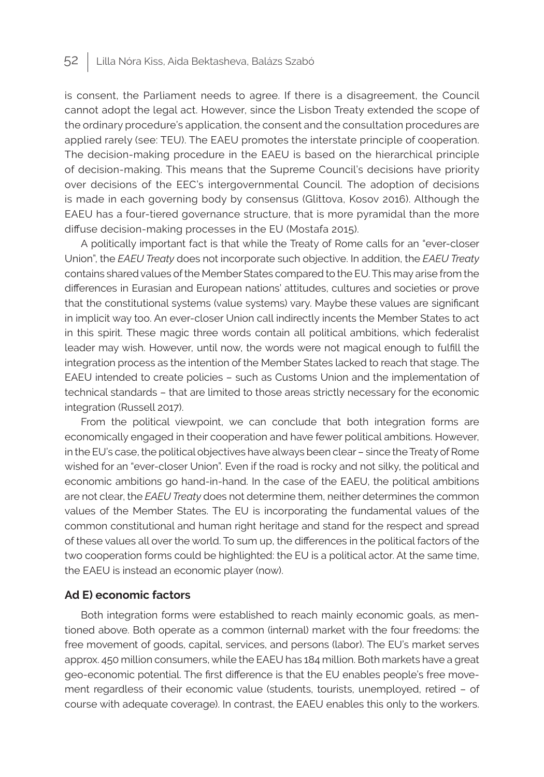is consent, the Parliament needs to agree. If there is a disagreement, the Council cannot adopt the legal act. However, since the Lisbon Treaty extended the scope of the ordinary procedure's application, the consent and the consultation procedures are applied rarely (see: TEU). The EAEU promotes the interstate principle of cooperation. The decision-making procedure in the EAEU is based on the hierarchical principle of decision-making. This means that the Supreme Council's decisions have priority over decisions of the EEC's intergovernmental Council. The adoption of decisions is made in each governing body by consensus (Glittova, Kosov 2016). Although the EAEU has a four-tiered governance structure, that is more pyramidal than the more diffuse decision-making processes in the EU (Mostafa 2015).

A politically important fact is that while the Treaty of Rome calls for an "ever-closer Union", the *EAEU Treaty* does not incorporate such objective. In addition, the *EAEU Treaty* contains shared values of the Member States compared to the EU. This may arise from the differences in Eurasian and European nations' attitudes, cultures and societies or prove that the constitutional systems (value systems) vary. Maybe these values are significant in implicit way too. An ever-closer Union call indirectly incents the Member States to act in this spirit. These magic three words contain all political ambitions, which federalist leader may wish. However, until now, the words were not magical enough to fulfill the integration process as the intention of the Member States lacked to reach that stage. The EAEU intended to create policies – such as Customs Union and the implementation of technical standards – that are limited to those areas strictly necessary for the economic integration (Russell 2017).

From the political viewpoint, we can conclude that both integration forms are economically engaged in their cooperation and have fewer political ambitions. However, in the EU's case, the political objectives have always been clear – since the Treaty of Rome wished for an "ever-closer Union". Even if the road is rocky and not silky, the political and economic ambitions go hand-in-hand. In the case of the EAEU, the political ambitions are not clear, the *EAEU Treaty* does not determine them, neither determines the common values of the Member States. The EU is incorporating the fundamental values of the common constitutional and human right heritage and stand for the respect and spread of these values all over the world. To sum up, the differences in the political factors of the two cooperation forms could be highlighted: the EU is a political actor. At the same time, the EAEU is instead an economic player (now).

### **Ad E) economic factors**

Both integration forms were established to reach mainly economic goals, as mentioned above. Both operate as a common (internal) market with the four freedoms: the free movement of goods, capital, services, and persons (labor). The EU's market serves approx. 450 million consumers, while the EAEU has 184 million. Both markets have a great geo-economic potential. The first difference is that the EU enables people's free movement regardless of their economic value (students, tourists, unemployed, retired – of course with adequate coverage). In contrast, the EAEU enables this only to the workers.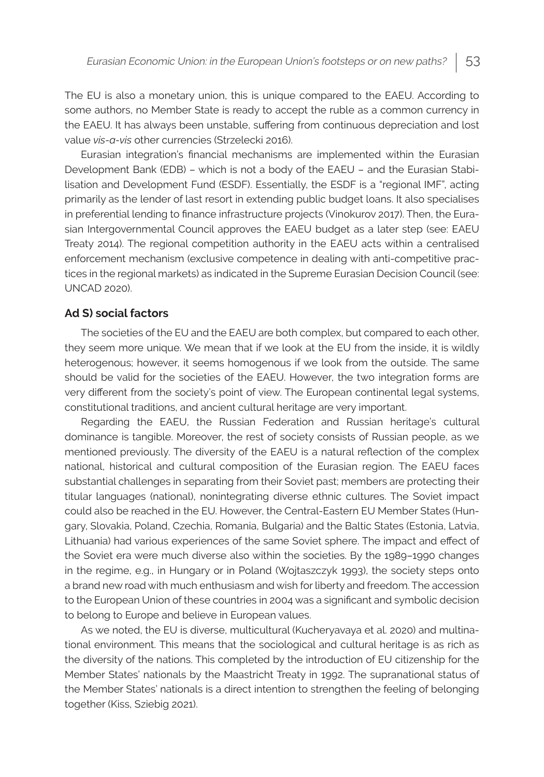The EU is also a monetary union, this is unique compared to the EAEU. According to some authors, no Member State is ready to accept the ruble as a common currency in the EAEU. It has always been unstable, suffering from continuous depreciation and lost value *vis-a-vis* other currencies (Strzelecki 2016).

Eurasian integration's financial mechanisms are implemented within the Eurasian Development Bank (EDB) – which is not a body of the EAEU – and the Eurasian Stabilisation and Development Fund (ESDF). Essentially, the ESDF is a "regional IMF", acting primarily as the lender of last resort in extending public budget loans. It also specialises in preferential lending to finance infrastructure projects (Vinokurov 2017). Then, the Eurasian Intergovernmental Council approves the EAEU budget as a later step (see: EAEU Treaty 2014). The regional competition authority in the EAEU acts within a centralised enforcement mechanism (exclusive competence in dealing with anti-competitive practices in the regional markets) as indicated in the Supreme Eurasian Decision Council (see: UNCAD 2020).

## **Ad S) social factors**

The societies of the EU and the EAEU are both complex, but compared to each other, they seem more unique. We mean that if we look at the EU from the inside, it is wildly heterogenous; however, it seems homogenous if we look from the outside. The same should be valid for the societies of the EAEU. However, the two integration forms are very different from the society's point of view. The European continental legal systems, constitutional traditions, and ancient cultural heritage are very important.

Regarding the EAEU, the Russian Federation and Russian heritage's cultural dominance is tangible. Moreover, the rest of society consists of Russian people, as we mentioned previously. The diversity of the EAEU is a natural reflection of the complex national, historical and cultural composition of the Eurasian region. The EAEU faces substantial challenges in separating from their Soviet past; members are protecting their titular languages (national), nonintegrating diverse ethnic cultures. The Soviet impact could also be reached in the EU. However, the Central-Eastern EU Member States (Hungary, Slovakia, Poland, Czechia, Romania, Bulgaria) and the Baltic States (Estonia, Latvia, Lithuania) had various experiences of the same Soviet sphere. The impact and effect of the Soviet era were much diverse also within the societies. By the 1989–1990 changes in the regime, e.g., in Hungary or in Poland (Wojtaszczyk 1993), the society steps onto a brand new road with much enthusiasm and wish for liberty and freedom. The accession to the European Union of these countries in 2004 was a significant and symbolic decision to belong to Europe and believe in European values.

As we noted, the EU is diverse, multicultural (Kucheryavaya et al. 2020) and multinational environment. This means that the sociological and cultural heritage is as rich as the diversity of the nations. This completed by the introduction of EU citizenship for the Member States' nationals by the Maastricht Treaty in 1992. The supranational status of the Member States' nationals is a direct intention to strengthen the feeling of belonging together (Kiss, Sziebig 2021).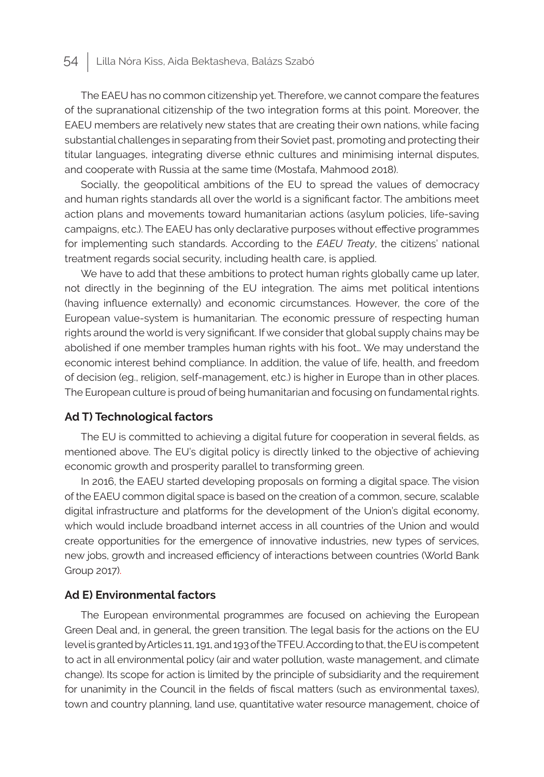The EAEU has no common citizenship yet. Therefore, we cannot compare the features of the supranational citizenship of the two integration forms at this point. Moreover, the EAEU members are relatively new states that are creating their own nations, while facing substantial challenges in separating from their Soviet past, promoting and protecting their titular languages, integrating diverse ethnic cultures and minimising internal disputes, and cooperate with Russia at the same time (Mostafa, Mahmood 2018).

Socially, the geopolitical ambitions of the EU to spread the values of democracy and human rights standards all over the world is a significant factor. The ambitions meet action plans and movements toward humanitarian actions (asylum policies, life-saving campaigns, etc.). The EAEU has only declarative purposes without effective programmes for implementing such standards. According to the *EAEU Treaty*, the citizens' national treatment regards social security, including health care, is applied.

We have to add that these ambitions to protect human rights globally came up later, not directly in the beginning of the EU integration. The aims met political intentions (having influence externally) and economic circumstances. However, the core of the European value-system is humanitarian. The economic pressure of respecting human rights around the world is very significant. If we consider that global supply chains may be abolished if one member tramples human rights with his foot… We may understand the economic interest behind compliance. In addition, the value of life, health, and freedom of decision (eg., religion, self-management, etc.) is higher in Europe than in other places. The European culture is proud of being humanitarian and focusing on fundamental rights.

## **Ad T) Technological factors**

The EU is committed to achieving a digital future for cooperation in several fields, as mentioned above. The EU's digital policy is directly linked to the objective of achieving economic growth and prosperity parallel to transforming green.

In 2016, the EAEU started developing proposals on forming a digital space. The vision of the EAEU common digital space is based on the creation of a common, secure, scalable digital infrastructure and platforms for the development of the Union's digital economy, which would include broadband internet access in all countries of the Union and would create opportunities for the emergence of innovative industries, new types of services, new jobs, growth and increased efficiency of interactions between countries (World Bank Group 2017).

### **Ad E) Environmental factors**

The European environmental programmes are focused on achieving the European Green Deal and, in general, the green transition. The legal basis for the actions on the EU level is granted by Articles 11, 191, and 193 of the TFEU. According to that, the EU is competent to act in all environmental policy (air and water pollution, waste management, and climate change). Its scope for action is limited by the principle of subsidiarity and the requirement for unanimity in the Council in the fields of fiscal matters (such as environmental taxes), town and country planning, land use, quantitative water resource management, choice of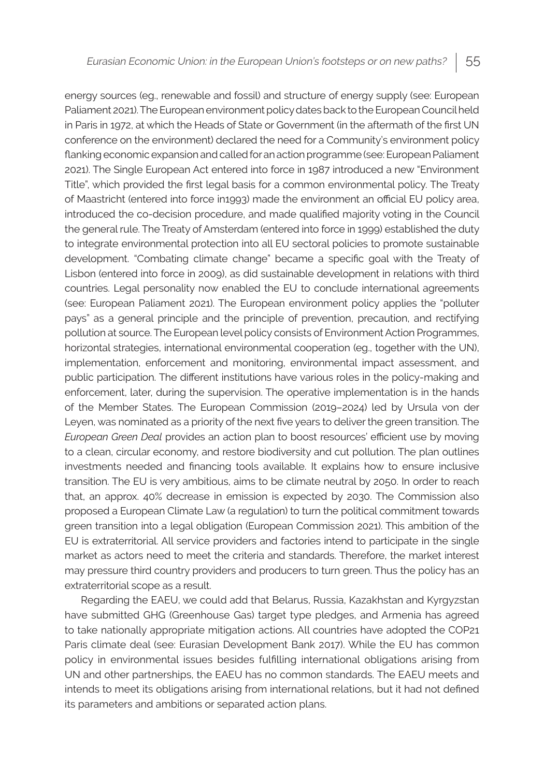energy sources (eg., renewable and fossil) and structure of energy supply (see: European Paliament 2021). The European environment policy dates back to the European Council held in Paris in 1972, at which the Heads of State or Government (in the aftermath of the first UN conference on the environment) declared the need for a Community's environment policy flanking economic expansion and called for an action programme (see: European Paliament 2021). The Single European Act entered into force in 1987 introduced a new "Environment Title", which provided the first legal basis for a common environmental policy. The Treaty of Maastricht (entered into force in1993) made the environment an official EU policy area, introduced the co-decision procedure, and made qualified majority voting in the Council the general rule. The Treaty of Amsterdam (entered into force in 1999) established the duty to integrate environmental protection into all EU sectoral policies to promote sustainable development. "Combating climate change" became a specific goal with the Treaty of Lisbon (entered into force in 2009), as did sustainable development in relations with third countries. Legal personality now enabled the EU to conclude international agreements (see: European Paliament 2021). The European environment policy applies the "polluter pays" as a general principle and the principle of prevention, precaution, and rectifying pollution at source. The European level policy consists of Environment Action Programmes, horizontal strategies, international environmental cooperation (eg., together with the UN), implementation, enforcement and monitoring, environmental impact assessment, and public participation. The different institutions have various roles in the policy-making and enforcement, later, during the supervision. The operative implementation is in the hands of the Member States. The European Commission (2019–2024) led by Ursula von der Leyen, was nominated as a priority of the next five years to deliver the green transition. The *European Green Deal* provides an action plan to boost resources' efficient use by moving to a clean, circular economy, and restore biodiversity and cut pollution. The plan outlines investments needed and financing tools available. It explains how to ensure inclusive transition. The EU is very ambitious, aims to be climate neutral by 2050. In order to reach that, an approx. 40% decrease in emission is expected by 2030. The Commission also proposed a European Climate Law (a regulation) to turn the political commitment towards green transition into a legal obligation (European Commission 2021). This ambition of the EU is extraterritorial. All service providers and factories intend to participate in the single market as actors need to meet the criteria and standards. Therefore, the market interest may pressure third country providers and producers to turn green. Thus the policy has an extraterritorial scope as a result.

Regarding the EAEU, we could add that Belarus, Russia, Kazakhstan and Kyrgyzstan have submitted GHG (Greenhouse Gas) target type pledges, and Armenia has agreed to take nationally appropriate mitigation actions. All countries have adopted the COP21 Paris climate deal (see: Eurasian Development Bank 2017). While the EU has common policy in environmental issues besides fulfilling international obligations arising from UN and other partnerships, the EAEU has no common standards. The EAEU meets and intends to meet its obligations arising from international relations, but it had not defined its parameters and ambitions or separated action plans.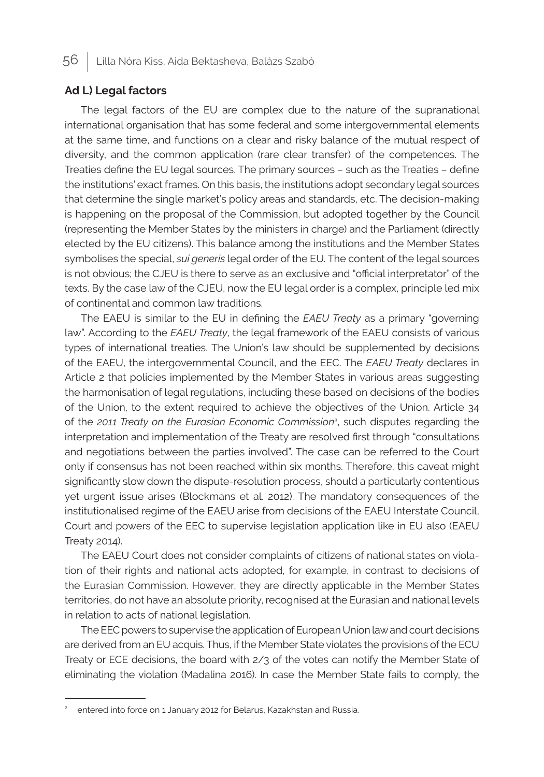## **Ad L) Legal factors**

The legal factors of the EU are complex due to the nature of the supranational international organisation that has some federal and some intergovernmental elements at the same time, and functions on a clear and risky balance of the mutual respect of diversity, and the common application (rare clear transfer) of the competences. The Treaties define the EU legal sources. The primary sources – such as the Treaties – define the institutions' exact frames. On this basis, the institutions adopt secondary legal sources that determine the single market's policy areas and standards, etc. The decision-making is happening on the proposal of the Commission, but adopted together by the Council (representing the Member States by the ministers in charge) and the Parliament (directly elected by the EU citizens). This balance among the institutions and the Member States symbolises the special, *sui generis* legal order of the EU. The content of the legal sources is not obvious; the CJEU is there to serve as an exclusive and "official interpretator" of the texts. By the case law of the CJEU, now the EU legal order is a complex, principle led mix of continental and common law traditions.

The EAEU is similar to the EU in defining the *EAEU Treaty* as a primary "governing law". According to the *EAEU Treaty*, the legal framework of the EAEU consists of various types of international treaties. The Union's law should be supplemented by decisions of the EAEU, the intergovernmental Council, and the EEC. The *EAEU Treaty* declares in Article 2 that policies implemented by the Member States in various areas suggesting the harmonisation of legal regulations, including these based on decisions of the bodies of the Union, to the extent required to achieve the objectives of the Union. Article 34 of the *2011 Treaty on the Eurasian Economic Commission*<sup>2</sup> , such disputes regarding the interpretation and implementation of the Treaty are resolved first through "consultations and negotiations between the parties involved". The case can be referred to the Court only if consensus has not been reached within six months. Therefore, this caveat might significantly slow down the dispute-resolution process, should a particularly contentious yet urgent issue arises (Blockmans et al. 2012). The mandatory consequences of the institutionalised regime of the EAEU arise from decisions of the EAEU Interstate Council, Court and powers of the EEC to supervise legislation application like in EU also (EAEU Treaty 2014).

The EAEU Court does not consider complaints of citizens of national states on violation of their rights and national acts adopted, for example, in contrast to decisions of the Eurasian Commission. However, they are directly applicable in the Member States territories, do not have an absolute priority, recognised at the Eurasian and national levels in relation to acts of national legislation.

The EEC powers to supervise the application of European Union law and court decisions are derived from an EU acquis. Thus, if the Member State violates the provisions of the ECU Treaty or ECE decisions, the board with 2/3 of the votes can notify the Member State of eliminating the violation (Madalina 2016). In case the Member State fails to comply, the

<sup>2</sup> entered into force on 1 January 2012 for Belarus, Kazakhstan and Russia.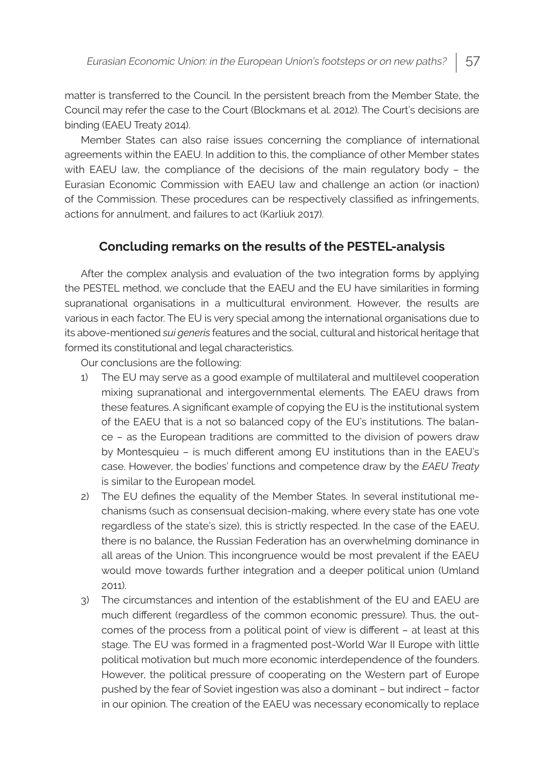matter is transferred to the Council. In the persistent breach from the Member State, the Council may refer the case to the Court (Blockmans et al. 2012). The Court's decisions are binding (EAEU Treaty 2014).

Member States can also raise issues concerning the compliance of international agreements within the EAEU. In addition to this, the compliance of other Member states with EAEU law, the compliance of the decisions of the main regulatory body – the Eurasian Economic Commission with EAEU law and challenge an action (or inaction) of the Commission. These procedures can be respectively classified as infringements, actions for annulment, and failures to act (Karliuk 2017).

## **Concluding remarks on the results of the PESTEL-analysis**

After the complex analysis and evaluation of the two integration forms by applying the PESTEL method, we conclude that the EAEU and the EU have similarities in forming supranational organisations in a multicultural environment. However, the results are various in each factor. The EU is very special among the international organisations due to its above-mentioned *sui generis* features and the social, cultural and historical heritage that formed its constitutional and legal characteristics.

Our conclusions are the following:

- 1) The EU may serve as a good example of multilateral and multilevel cooperation mixing supranational and intergovernmental elements. The EAEU draws from these features. A significant example of copying the EU is the institutional system of the EAEU that is a not so balanced copy of the EU's institutions. The balance – as the European traditions are committed to the division of powers draw by Montesquieu – is much different among EU institutions than in the EAEU's case. However, the bodies' functions and competence draw by the *EAEU Treaty* is similar to the European model.
- 2) The EU defines the equality of the Member States. In several institutional mechanisms (such as consensual decision-making, where every state has one vote regardless of the state's size), this is strictly respected. In the case of the EAEU, there is no balance, the Russian Federation has an overwhelming dominance in all areas of the Union. This incongruence would be most prevalent if the EAEU would move towards further integration and a deeper political union (Umland 2011).
- 3) The circumstances and intention of the establishment of the EU and EAEU are much different (regardless of the common economic pressure). Thus, the outcomes of the process from a political point of view is different – at least at this stage. The EU was formed in a fragmented post-World War II Europe with little political motivation but much more economic interdependence of the founders. However, the political pressure of cooperating on the Western part of Europe pushed by the fear of Soviet ingestion was also a dominant – but indirect – factor in our opinion. The creation of the EAEU was necessary economically to replace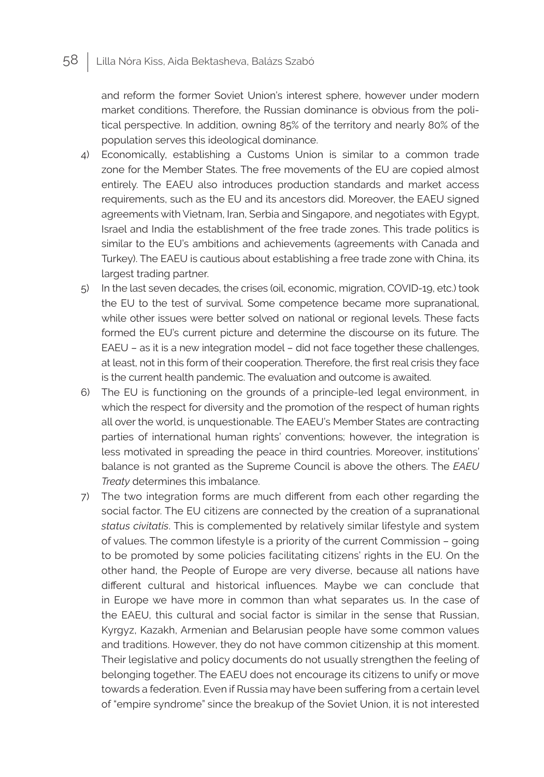and reform the former Soviet Union's interest sphere, however under modern market conditions. Therefore, the Russian dominance is obvious from the political perspective. In addition, owning 85% of the territory and nearly 80% of the population serves this ideological dominance.

- 4) Economically, establishing a Customs Union is similar to a common trade zone for the Member States. The free movements of the EU are copied almost entirely. The EAEU also introduces production standards and market access requirements, such as the EU and its ancestors did. Moreover, the EAEU signed agreements with Vietnam, Iran, Serbia and Singapore, and negotiates with Egypt, Israel and India the establishment of the free trade zones. This trade politics is similar to the EU's ambitions and achievements (agreements with Canada and Turkey). The EAEU is cautious about establishing a free trade zone with China, its largest trading partner.
- 5) In the last seven decades, the crises (oil, economic, migration, COVID-19, etc.) took the EU to the test of survival. Some competence became more supranational, while other issues were better solved on national or regional levels. These facts formed the EU's current picture and determine the discourse on its future. The EAEU – as it is a new integration model – did not face together these challenges, at least, not in this form of their cooperation. Therefore, the first real crisis they face is the current health pandemic. The evaluation and outcome is awaited.
- 6) The EU is functioning on the grounds of a principle-led legal environment, in which the respect for diversity and the promotion of the respect of human rights all over the world, is unquestionable. The EAEU's Member States are contracting parties of international human rights' conventions; however, the integration is less motivated in spreading the peace in third countries. Moreover, institutions' balance is not granted as the Supreme Council is above the others. The *EAEU Treaty* determines this imbalance.
- 7) The two integration forms are much different from each other regarding the social factor. The EU citizens are connected by the creation of a supranational *status civitatis*. This is complemented by relatively similar lifestyle and system of values. The common lifestyle is a priority of the current Commission – going to be promoted by some policies facilitating citizens' rights in the EU. On the other hand, the People of Europe are very diverse, because all nations have different cultural and historical influences. Maybe we can conclude that in Europe we have more in common than what separates us. In the case of the EAEU, this cultural and social factor is similar in the sense that Russian, Kyrgyz, Kazakh, Armenian and Belarusian people have some common values and traditions. However, they do not have common citizenship at this moment. Their legislative and policy documents do not usually strengthen the feeling of belonging together. The EAEU does not encourage its citizens to unify or move towards a federation. Even if Russia may have been suffering from a certain level of "empire syndrome" since the breakup of the Soviet Union, it is not interested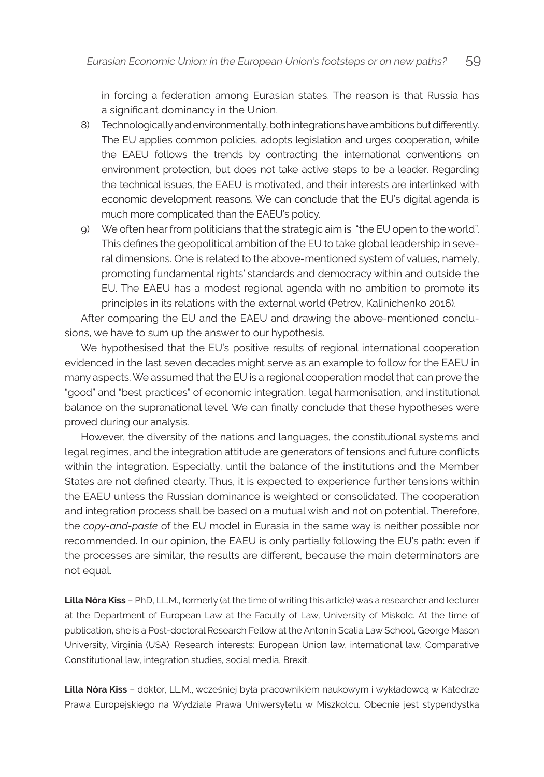in forcing a federation among Eurasian states. The reason is that Russia has a significant dominancy in the Union.

- 8) Technologically and environmentally, both integrations have ambitions but differently. The EU applies common policies, adopts legislation and urges cooperation, while the EAEU follows the trends by contracting the international conventions on environment protection, but does not take active steps to be a leader. Regarding the technical issues, the EAEU is motivated, and their interests are interlinked with economic development reasons. We can conclude that the EU's digital agenda is much more complicated than the EAEU's policy.
- 9) We often hear from politicians that the strategic aim is "the EU open to the world". This defines the geopolitical ambition of the EU to take global leadership in several dimensions. One is related to the above-mentioned system of values, namely, promoting fundamental rights' standards and democracy within and outside the EU. The EAEU has a modest regional agenda with no ambition to promote its principles in its relations with the external world (Petrov, Kalinichenko 2016).

After comparing the EU and the EAEU and drawing the above-mentioned conclusions, we have to sum up the answer to our hypothesis.

We hypothesised that the EU's positive results of regional international cooperation evidenced in the last seven decades might serve as an example to follow for the EAEU in many aspects. We assumed that the EU is a regional cooperation model that can prove the "good" and "best practices" of economic integration, legal harmonisation, and institutional balance on the supranational level. We can finally conclude that these hypotheses were proved during our analysis.

However, the diversity of the nations and languages, the constitutional systems and legal regimes, and the integration attitude are generators of tensions and future conflicts within the integration. Especially, until the balance of the institutions and the Member States are not defined clearly. Thus, it is expected to experience further tensions within the EAEU unless the Russian dominance is weighted or consolidated. The cooperation and integration process shall be based on a mutual wish and not on potential. Therefore, the *copy-and-paste* of the EU model in Eurasia in the same way is neither possible nor recommended. In our opinion, the EAEU is only partially following the EU's path: even if the processes are similar, the results are different, because the main determinators are not equal.

**Lilla Nóra Kiss** – PhD, LL.M., formerly (at the time of writing this article) was a researcher and lecturer at the Department of European Law at the Faculty of Law, University of Miskolc. At the time of publication, she is a Post-doctoral Research Fellow at the Antonin Scalia Law School, George Mason University, Virginia (USA). Research interests: European Union law, international law, Comparative Constitutional law, integration studies, social media, Brexit.

**Lilla Nóra Kiss** – doktor, LL.M., wcześniej była pracownikiem naukowym i wykładowcą w Katedrze Prawa Europejskiego na Wydziale Prawa Uniwersytetu w Miszkolcu. Obecnie jest stypendystką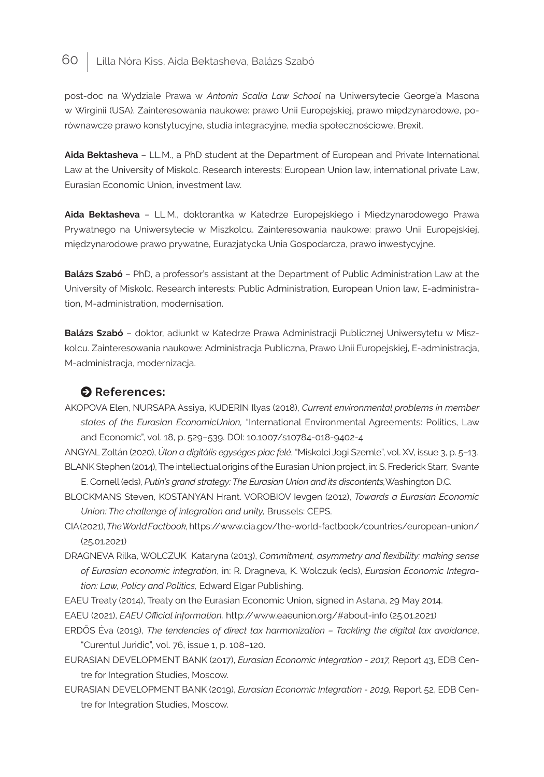post-doc na Wydziale Prawa w *Antonin Scalia Law School* na Uniwersytecie George'a Masona w Wirginii (USA). Zainteresowania naukowe: prawo Unii Europejskiej, prawo międzynarodowe, porównawcze prawo konstytucyjne, studia integracyjne, media społecznościowe, Brexit.

**Aida Bektasheva** – LL.M., a PhD student at the Department of European and Private International Law at the University of Miskolc. Research interests: European Union law, international private Law, Eurasian Economic Union, investment law.

**Aida Bektasheva** – LL.M., doktorantka w Katedrze Europejskiego i Międzynarodowego Prawa Prywatnego na Uniwersytecie w Miszkolcu. Zainteresowania naukowe: prawo Unii Europejskiej, międzynarodowe prawo prywatne, Eurazjatycka Unia Gospodarcza, prawo inwestycyjne.

**Balázs Szabó** – PhD, a professor's assistant at the Department of Public Administration Law at the University of Miskolc. Research interests: Public Administration, European Union law, E-administration, M-administration, modernisation.

**Balázs Szabó** – doktor, adiunkt w Katedrze Prawa Administracji Publicznej Uniwersytetu w Miszkolcu. Zainteresowania naukowe: Administracja Publiczna, Prawo Unii Europejskiej, E-administracja, M-administracja, modernizacja.

## $\bullet$  References:

- AKOPOVA Elen, NURSAPA Assiya, KUDERIN Ilyas (2018), *Current environmental problems in member states of the Eurasian EconomicUnion,* "International Environmental Agreements: Politics, Law and Economic", vol. 18, p. 529–539. DOI: 10.1007/s10784-018-9402-4
- ANGYAL Zoltán (2020), *Úton a digitális egységes piac felé*, "Miskolci Jogi Szemle", vol. XV, issue 3, p. 5–13. BLANK Stephen (2014), The intellectual origins of the Eurasian Union project, in: S. Frederick Starr, Svante E. Cornell (eds), *Putin's grand strategy: The Eurasian Union and its discontents,*Washington D.C.
- BLOCKMANS Steven, KOSTANYAN Hrant. VOROBIOV Ievgen (2012), *Towards a Eurasian Economic Union: The challenge of integration and unity,* Brussels: CEPS.
- CIA (2021), *The World Factbook,* https://www.cia.gov/the-world-factbook/countries/european-union/ (25.01.2021)
- DRAGNEVA Rilka, WOLCZUK Kataryna (2013), *Commitment, asymmetry and flexibility: making sense of Eurasian economic integration*, in: R. Dragneva, K. Wolczuk (eds), *Eurasian Economic Integration: Law, Policy and Politics,* Edward Elgar Publishing.
- EAEU Treaty (2014), Treaty on the Eurasian Economic Union, signed in Astana, 29 May 2014.
- EAEU (2021), *EAEU Official information,* http://www.eaeunion.org/#about-info (25.01.2021)
- ERDŐS Éva (2019), *The tendencies of direct tax harmonization Tackling the digital tax avoidance*, "Curentul Juridic", vol. 76, issue 1, p. 108–120.
- EURASIAN DEVELOPMENT BANK (2017), *Eurasian Economic Integration 2017,* Report 43, EDB Centre for Integration Studies, Moscow.
- EURASIAN DEVELOPMENT BANK (2019), *Eurasian Economic Integration 2019,* Report 52, EDB Centre for Integration Studies, Moscow.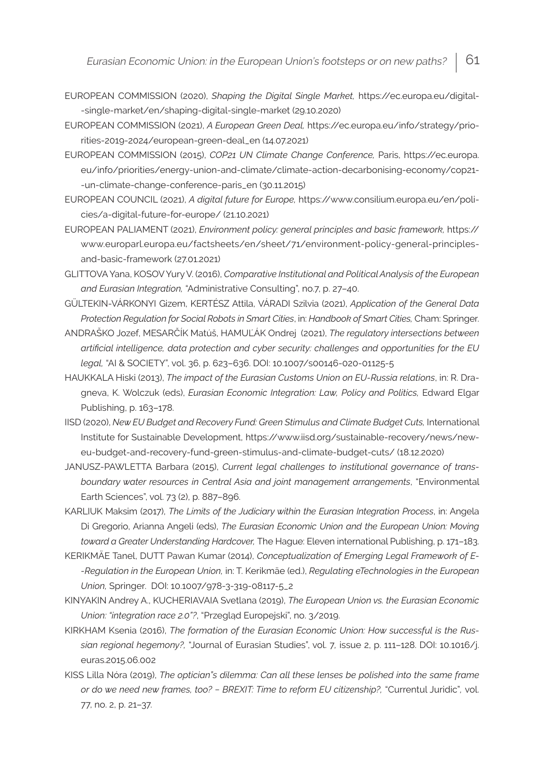- EUROPEAN COMMISSION (2020), *Shaping the Digital Single Market,* https://ec.europa.eu/digital- -single-market/en/shaping-digital-single-market (29.10.2020)
- EUROPEAN COMMISSION (2021), *A European Green Deal,* https://ec.europa.eu/info/strategy/priorities-2019-2024/european-green-deal\_en (14.07.2021)
- EUROPEAN COMMISSION (2015), *COP21 UN Climate Change Conference,* Paris, https://ec.europa. eu/info/priorities/energy-union-and-climate/climate-action-decarbonising-economy/cop21- -un-climate-change-conference-paris\_en (30.11.2015)
- EUROPEAN COUNCIL (2021), *A digital future for Europe,* https://www.consilium.europa.eu/en/policies/a-digital-future-for-europe/ (21.10.2021)
- EUROPEAN PALIAMENT (2021), *Environment policy: general principles and basic framework,* https:// www.europarl.europa.eu/factsheets/en/sheet/71/environment-policy-general-principlesand-basic-framework (27.01.2021)
- GLITTOVA Yana, KOSOV Yury V. (2016), *Comparative Institutional and Political Analysis of the European and Eurasian Integration,* "Administrative Consulting", no.7, p. 27–40.
- GÜLTEKIN-VÁRKONYI Gizem, KERTÉSZ Attila, VÁRADI Szilvia (2021), *Application of the General Data Protection Regulation for Social Robots in Smart Cities*, in: *Handbook of Smart Cities,* Cham: Springer.
- ANDRAŠKO Jozef, MESARČÍK Matúš, HAMUĽÁK Ondrej (2021), *The regulatory intersections between artificial intelligence, data protection and cyber security: challenges and opportunities for the EU legal,* "AI & SOCIETY", vol. 36, p. 623–636. DOI: 10.1007/s00146-020-01125-5
- HAUKKALA Hiski (2013), *The impact of the Eurasian Customs Union on EU-Russia relations*, in: R. Dragneva, K. Wolczuk (eds), *Eurasian Economic Integration: Law, Policy and Politics,* Edward Elgar Publishing, p. 163–178.
- IISD (2020), *New EU Budget and Recovery Fund: Green Stimulus and Climate Budget Cuts*, International Institute for Sustainable Development, https://www.iisd.org/sustainable-recovery/news/neweu-budget-and-recovery-fund-green-stimulus-and-climate-budget-cuts/ (18.12.2020)
- JANUSZ-PAWLETTA Barbara (2015), *Current legal challenges to institutional governance of transboundary water resources in Central Asia and joint management arrangements*, "Environmental Earth Sciences", vol. 73 (2), p. 887–896.
- KARLIUK Maksim (2017), *The Limits of the Judiciary within the Eurasian Integration Process*, in: Angela Di Gregorio, Arianna Angeli (eds), *The Eurasian Economic Union and the European Union: Moving toward a Greater Understanding Hardcover,* The Hague: Eleven international Publishing, p. 171–183.
- KERIKMÄE Tanel, DUTT Pawan Kumar (2014), *Conceptualization of Emerging Legal Framework of E- -Regulation in the European Union,* in: T. Kerikmäe (ed.), *Regulating eTechnologies in the European Union,* Springer. DOI: 10.1007/978-3-319-08117-5\_2
- KINYAKIN Andrey A., KUCHERIAVAIA Svetlana (2019), *The European Union vs. the Eurasian Economic Union: "integration race 2.0"?*, "Przegląd Europejski", no. 3/2019.
- KIRKHAM Ksenia (2016), *The formation of the Eurasian Economic Union: How successful is the Russian regional hegemony?,* "Journal of Eurasian Studies", vol. 7*,* issue 2, p. 111–128. DOI: 10.1016/j. euras.2015.06.002
- KISS Lilla Nóra (2019), *The optician"s dilemma: Can all these lenses be polished into the same frame or do we need new frames, too? − BREXIT: Time to reform EU citizenship?,* "Currentul Juridic"*,* vol. 77, no. 2, p. 21–37.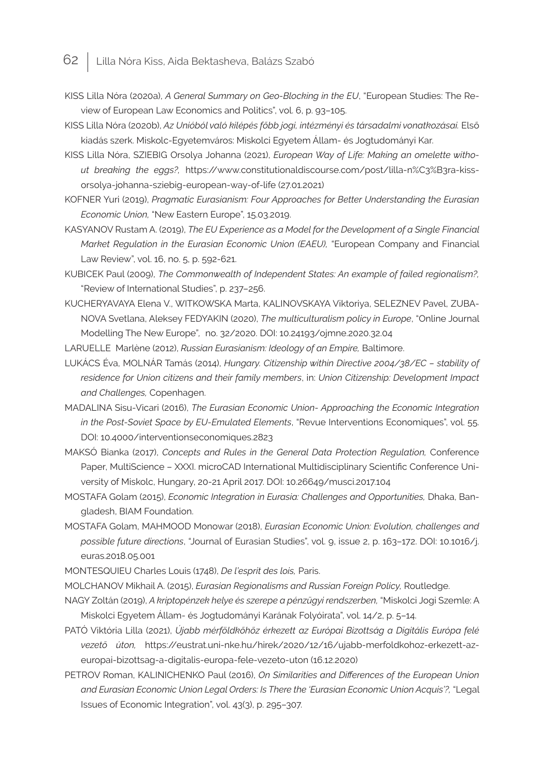- KISS Lilla Nóra (2020a), *A General Summary on Geo-Blocking in the EU*, "European Studies: The Review of European Law Economics and Politics", vol. 6, p. 93–105.
- KISS Lilla Nóra (2020b), Az Unióból való kilépés főbb jogi, intézményi és társadalmi vonatkozásai. Első kiadás szerk. Miskolc-Egyetemváros: Miskolci Egyetem Állam- és Jogtudományi Kar.
- KISS Lilla Nóra, SZIEBIG Orsolya Johanna (2021), *European Way of Life: Making an omelette without breaking the eggs?,* https://www.constitutionaldiscourse.com/post/lilla-n%C3%B3ra-kissorsolya-johanna-sziebig-european-way-of-life (27.01.2021)
- KOFNER Yuri (2019), *Pragmatic Eurasianism: Four Approaches for Better Understanding the Eurasian Economic Union,* "New Eastern Europe", 15.03.2019.
- KASYANOV Rustam A. (2019), *The EU Experience as a Model for the Development of a Single Financial Market Regulation in the Eurasian Economic Union (EAEU),* "European Company and Financial Law Review", vol. 16, no. 5, p. 592-621.
- KUBICEK Paul (2009), *The Commonwealth of Independent States: An example of failed regionalism?,* "Review of International Studies", p. 237–256.
- KUCHERYAVAYA Elena V., WITKOWSKA Marta, KALINOVSKAYA Viktoriya, SELEZNEV Pavel, ZUBA-NOVA Svetlana, Aleksey FEDYAKIN (2020), *The multiculturalism policy in Europe*, "Online Journal Modelling The New Europe"*,* no. 32/2020. DOI: 10.24193/ojmne.2020.32.04
- LARUELLE Marlène (2012), *Russian Eurasianism: Ideology of an Empire,* Baltimore.
- LUKÁCS Éva, MOLNÁR Tamás (2014), *Hungary. Citizenship within Directive 2004/38/EC stability of residence for Union citizens and their family members*, in: *Union Citizenship: Development Impact and Challenges,* Copenhagen.
- MADALINA Sisu-Vicari (2016), *The Eurasian Economic Union- Approaching the Economic Integration in the Post-Soviet Space by EU-Emulated Elements*, "Revue Interventions Economiques", vol. 55. DOI: 10.4000/interventionseconomiques.2823
- MAKSÓ Bianka (2017), *Concepts and Rules in the General Data Protection Regulation,* Conference Paper, MultiScience – XXXI. microCAD International Multidisciplinary Scientific Conference University of Miskolc, Hungary, 20-21 April 2017. DOI: 10.26649/musci.2017.104
- MOSTAFA Golam (2015), *Economic Integration in Eurasia: Challenges and Opportunities,* Dhaka, Bangladesh, BIAM Foundation.
- MOSTAFA Golam, MAHMOOD Monowar (2018), *Eurasian Economic Union: Evolution, challenges and possible future directions*, "Journal of Eurasian Studies", vol. 9, issue 2, p. 163–172. DOI: 10.1016/j. euras.2018.05.001
- MONTESQUIEU Charles Louis (1748), *De l'esprit des lois,* Paris.
- MOLCHANOV Mikhail A. (2015), *Eurasian Regionalisms and Russian Foreign Policy,* Routledge.
- NAGY Zoltán (2019), *A kriptopénzek helye és szerepe a pénzügyi rendszerben,* "Miskolci Jogi Szemle: A Miskolci Egyetem Állam- és Jogtudományi Karának Folyóirata", vol. 14/2, p. 5–14.
- PATÓ Viktória Lilla (2021), *Újabb mérföldkőhöz érkezett az Európai Bizottság a Digitális Európa felé vezető úton,* https://eustrat.uni-nke.hu/hirek/2020/12/16/ujabb-merfoldkohoz-erkezett-azeuropai-bizottsag-a-digitalis-europa-fele-vezeto-uton (16.12.2020)
- PETROV Roman, KALINICHENKO Paul (2016), *On Similarities and Differences of the European Union and Eurasian Economic Union Legal Orders: Is There the 'Eurasian Economic Union Acquis'?,* "Legal Issues of Economic Integration", vol. 43(3), p. 295–307.